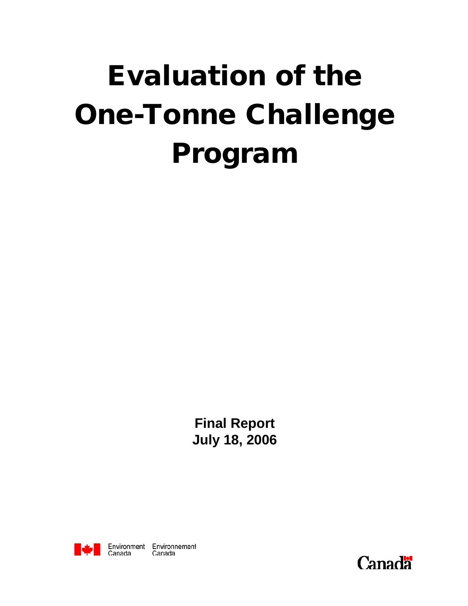# Evaluation of the One-Tonne Challenge Program

**Final Report July 18, 2006**



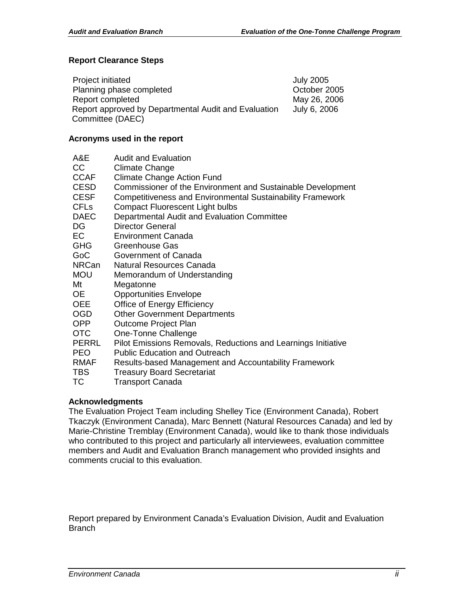#### **Report Clearance Steps**

| Project initiated                                    | <b>July 2005</b> |
|------------------------------------------------------|------------------|
| Planning phase completed                             | October 2005     |
| Report completed                                     | May 26, 2006     |
| Report approved by Departmental Audit and Evaluation | July 6, 2006     |
| Committee (DAEC)                                     |                  |

#### **Acronyms used in the report**

| A&E                    | <b>Audit and Evaluation</b>                                       |
|------------------------|-------------------------------------------------------------------|
| CC.                    | <b>Climate Change</b>                                             |
| <b>CCAF</b>            | <b>Climate Change Action Fund</b>                                 |
| <b>CESD</b>            | Commissioner of the Environment and Sustainable Development       |
| <b>CESF</b>            | <b>Competitiveness and Environmental Sustainability Framework</b> |
| <b>CFL<sub>s</sub></b> | <b>Compact Fluorescent Light bulbs</b>                            |
| <b>DAEC</b>            | Departmental Audit and Evaluation Committee                       |
| DG.                    | <b>Director General</b>                                           |
| EC                     | <b>Environment Canada</b>                                         |
| <b>GHG</b>             | Greenhouse Gas                                                    |
| GoC                    | Government of Canada                                              |
| <b>NRCan</b>           | Natural Resources Canada                                          |
| <b>MOU</b>             | Memorandum of Understanding                                       |
| Mt                     | Megatonne                                                         |
| OE.                    | <b>Opportunities Envelope</b>                                     |
| <b>OEE</b>             | Office of Energy Efficiency                                       |
| <b>OGD</b>             | <b>Other Government Departments</b>                               |
| <b>OPP</b>             | Outcome Project Plan                                              |
| <b>OTC</b>             | One-Tonne Challenge                                               |
| PERRL                  | Pilot Emissions Removals, Reductions and Learnings Initiative     |
| <b>PEO</b>             | <b>Public Education and Outreach</b>                              |
| <b>RMAF</b>            | Results-based Management and Accountability Framework             |
| <b>TBS</b>             | <b>Treasury Board Secretariat</b>                                 |

TC Transport Canada

### **Acknowledgments**

The Evaluation Project Team including Shelley Tice (Environment Canada), Robert Tkaczyk (Environment Canada), Marc Bennett (Natural Resources Canada) and led by Marie-Christine Tremblay (Environment Canada), would like to thank those individuals who contributed to this project and particularly all interviewees, evaluation committee members and Audit and Evaluation Branch management who provided insights and comments crucial to this evaluation.

Report prepared by Environment Canada's Evaluation Division, Audit and Evaluation Branch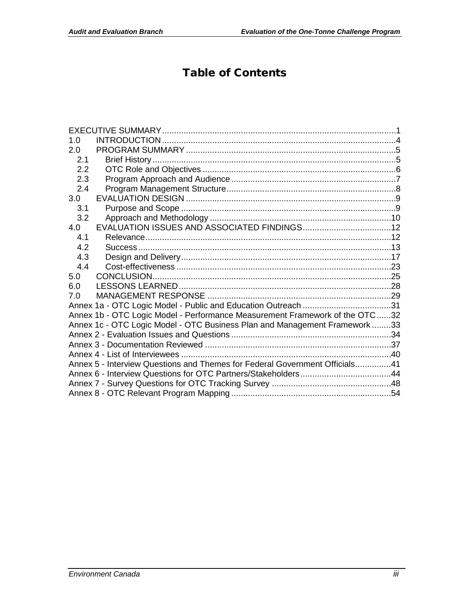# Table of Contents

| 1.0 |                                                                             |  |
|-----|-----------------------------------------------------------------------------|--|
| 2.0 |                                                                             |  |
| 2.1 |                                                                             |  |
| 2.2 |                                                                             |  |
| 2.3 |                                                                             |  |
| 2.4 |                                                                             |  |
| 3.0 |                                                                             |  |
| 3.1 |                                                                             |  |
| 3.2 |                                                                             |  |
| 4.0 |                                                                             |  |
| 4.1 |                                                                             |  |
| 4.2 |                                                                             |  |
| 4.3 |                                                                             |  |
| 4.4 |                                                                             |  |
| 5.0 |                                                                             |  |
| 6.0 |                                                                             |  |
| 7.0 |                                                                             |  |
|     | Annex 1a - OTC Logic Model - Public and Education Outreach 31               |  |
|     | Annex 1b - OTC Logic Model - Performance Measurement Framework of the OTC32 |  |
|     | Annex 1c - OTC Logic Model - OTC Business Plan and Management Framework33   |  |
|     |                                                                             |  |
|     |                                                                             |  |
|     |                                                                             |  |
|     | Annex 5 - Interview Questions and Themes for Federal Government Officials41 |  |
|     |                                                                             |  |
|     |                                                                             |  |
|     |                                                                             |  |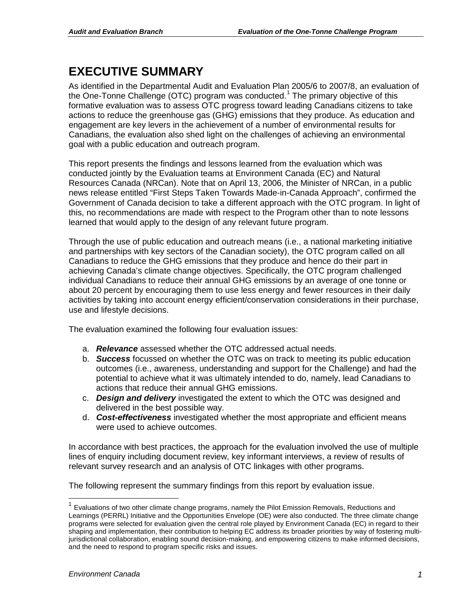# <span id="page-3-0"></span>**EXECUTIVE SUMMARY**

As identified in the Departmental Audit and Evaluation Plan 2005/6 to 2007/8, an evaluation of the One-Tonne Challenge (OTC) program was conducted.<sup>[1](#page-3-1)</sup> The primary objective of this formative evaluation was to assess OTC progress toward leading Canadians citizens to take actions to reduce the greenhouse gas (GHG) emissions that they produce. As education and engagement are key levers in the achievement of a number of environmental results for Canadians, the evaluation also shed light on the challenges of achieving an environmental goal with a public education and outreach program.

This report presents the findings and lessons learned from the evaluation which was conducted jointly by the Evaluation teams at Environment Canada (EC) and Natural Resources Canada (NRCan). Note that on April 13, 2006, the Minister of NRCan, in a public news release entitled "First Steps Taken Towards Made-in-Canada Approach", confirmed the Government of Canada decision to take a different approach with the OTC program. In light of this, no recommendations are made with respect to the Program other than to note lessons learned that would apply to the design of any relevant future program.

Through the use of public education and outreach means (i.e., a national marketing initiative and partnerships with key sectors of the Canadian society), the OTC program called on all Canadians to reduce the GHG emissions that they produce and hence do their part in achieving Canada's climate change objectives. Specifically, the OTC program challenged individual Canadians to reduce their annual GHG emissions by an average of one tonne or about 20 percent by encouraging them to use less energy and fewer resources in their daily activities by taking into account energy efficient/conservation considerations in their purchase, use and lifestyle decisions.

The evaluation examined the following four evaluation issues:

- a. *Relevance* assessed whether the OTC addressed actual needs.
- b. *Success* focussed on whether the OTC was on track to meeting its public education outcomes (i.e., awareness, understanding and support for the Challenge) and had the potential to achieve what it was ultimately intended to do, namely, lead Canadians to actions that reduce their annual GHG emissions.
- c. *Design and delivery* investigated the extent to which the OTC was designed and delivered in the best possible way.
- d. *Cost-effectiveness* investigated whether the most appropriate and efficient means were used to achieve outcomes.

In accordance with best practices, the approach for the evaluation involved the use of multiple lines of enquiry including document review, key informant interviews, a review of results of relevant survey research and an analysis of OTC linkages with other programs.

The following represent the summary findings from this report by evaluation issue.

<span id="page-3-1"></span> <sup>1</sup> Evaluations of two other climate change programs, namely the Pilot Emission Removals, Reductions and Learnings (PERRL) Initiative and the Opportunities Envelope (OE) were also conducted. The three climate change programs were selected for evaluation given the central role played by Environment Canada (EC) in regard to their shaping and implementation, their contribution to helping EC address its broader priorities by way of fostering multijurisdictional collaboration, enabling sound decision-making, and empowering citizens to make informed decisions, and the need to respond to program specific risks and issues.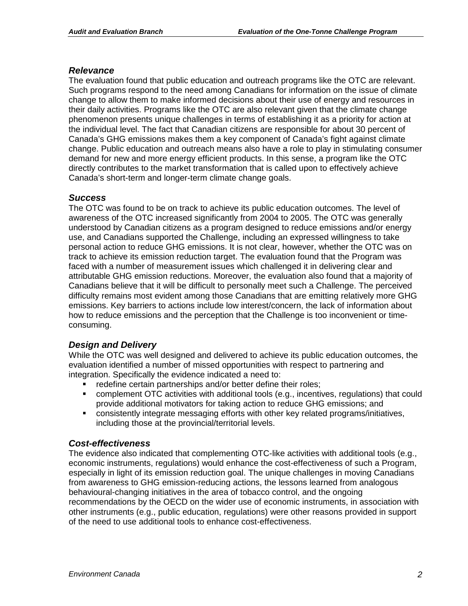#### *Relevance*

The evaluation found that public education and outreach programs like the OTC are relevant. Such programs respond to the need among Canadians for information on the issue of climate change to allow them to make informed decisions about their use of energy and resources in their daily activities. Programs like the OTC are also relevant given that the climate change phenomenon presents unique challenges in terms of establishing it as a priority for action at the individual level. The fact that Canadian citizens are responsible for about 30 percent of Canada's GHG emissions makes them a key component of Canada's fight against climate change. Public education and outreach means also have a role to play in stimulating consumer demand for new and more energy efficient products. In this sense, a program like the OTC directly contributes to the market transformation that is called upon to effectively achieve Canada's short-term and longer-term climate change goals.

#### *Success*

The OTC was found to be on track to achieve its public education outcomes. The level of awareness of the OTC increased significantly from 2004 to 2005. The OTC was generally understood by Canadian citizens as a program designed to reduce emissions and/or energy use, and Canadians supported the Challenge, including an expressed willingness to take personal action to reduce GHG emissions. It is not clear, however, whether the OTC was on track to achieve its emission reduction target. The evaluation found that the Program was faced with a number of measurement issues which challenged it in delivering clear and attributable GHG emission reductions. Moreover, the evaluation also found that a majority of Canadians believe that it will be difficult to personally meet such a Challenge. The perceived difficulty remains most evident among those Canadians that are emitting relatively more GHG emissions. Key barriers to actions include low interest/concern, the lack of information about how to reduce emissions and the perception that the Challenge is too inconvenient or timeconsuming.

### *Design and Delivery*

While the OTC was well designed and delivered to achieve its public education outcomes, the evaluation identified a number of missed opportunities with respect to partnering and integration. Specifically the evidence indicated a need to:

- redefine certain partnerships and/or better define their roles;
- complement OTC activities with additional tools (e.g., incentives, regulations) that could provide additional motivators for taking action to reduce GHG emissions; and
- consistently integrate messaging efforts with other key related programs/initiatives, including those at the provincial/territorial levels.

#### *Cost-effectiveness*

The evidence also indicated that complementing OTC-like activities with additional tools (e.g., economic instruments, regulations) would enhance the cost-effectiveness of such a Program, especially in light of its emission reduction goal. The unique challenges in moving Canadians from awareness to GHG emission-reducing actions, the lessons learned from analogous behavioural-changing initiatives in the area of tobacco control, and the ongoing recommendations by the OECD on the wider use of economic instruments, in association with other instruments (e.g., public education, regulations) were other reasons provided in support of the need to use additional tools to enhance cost-effectiveness.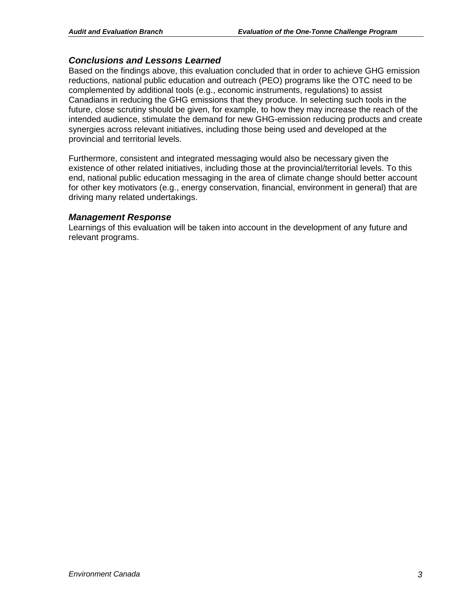### *Conclusions and Lessons Learned*

Based on the findings above, this evaluation concluded that in order to achieve GHG emission reductions, national public education and outreach (PEO) programs like the OTC need to be complemented by additional tools (e.g., economic instruments, regulations) to assist Canadians in reducing the GHG emissions that they produce. In selecting such tools in the future, close scrutiny should be given, for example, to how they may increase the reach of the intended audience, stimulate the demand for new GHG-emission reducing products and create synergies across relevant initiatives, including those being used and developed at the provincial and territorial levels.

Furthermore, consistent and integrated messaging would also be necessary given the existence of other related initiatives, including those at the provincial/territorial levels. To this end, national public education messaging in the area of climate change should better account for other key motivators (e.g., energy conservation, financial, environment in general) that are driving many related undertakings.

### *Management Response*

Learnings of this evaluation will be taken into account in the development of any future and relevant programs.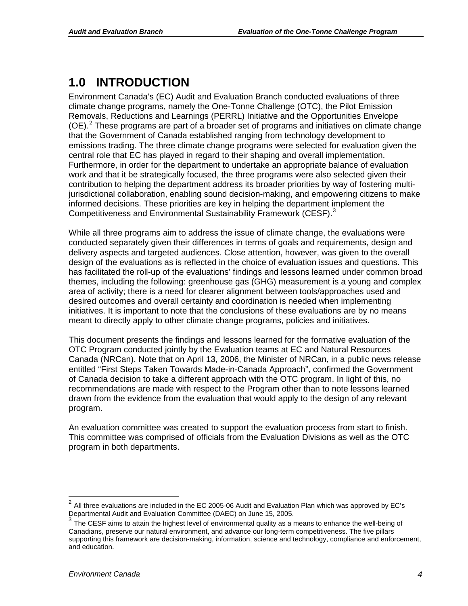# <span id="page-6-0"></span>**1.0 INTRODUCTION**

Environment Canada's (EC) Audit and Evaluation Branch conducted evaluations of three climate change programs, namely the One-Tonne Challenge (OTC), the Pilot Emission Removals, Reductions and Learnings (PERRL) Initiative and the Opportunities Envelope (OE).<sup>[2](#page-6-1)</sup> These programs are part of a broader set of programs and initiatives on climate change that the Government of Canada established ranging from technology development to emissions trading. The three climate change programs were selected for evaluation given the central role that EC has played in regard to their shaping and overall implementation. Furthermore, in order for the department to undertake an appropriate balance of evaluation work and that it be strategically focused, the three programs were also selected given their contribution to helping the department address its broader priorities by way of fostering multijurisdictional collaboration, enabling sound decision-making, and empowering citizens to make informed decisions. These priorities are key in helping the department implement the Competitiveness and Environmental Sustainability Framework (CESF).<sup>[3](#page-6-2)</sup>

While all three programs aim to address the issue of climate change, the evaluations were conducted separately given their differences in terms of goals and requirements, design and delivery aspects and targeted audiences. Close attention, however, was given to the overall design of the evaluations as is reflected in the choice of evaluation issues and questions. This has facilitated the roll-up of the evaluations' findings and lessons learned under common broad themes, including the following: greenhouse gas (GHG) measurement is a young and complex area of activity; there is a need for clearer alignment between tools/approaches used and desired outcomes and overall certainty and coordination is needed when implementing initiatives. It is important to note that the conclusions of these evaluations are by no means meant to directly apply to other climate change programs, policies and initiatives.

This document presents the findings and lessons learned for the formative evaluation of the OTC Program conducted jointly by the Evaluation teams at EC and Natural Resources Canada (NRCan). Note that on April 13, 2006, the Minister of NRCan, in a public news release entitled "First Steps Taken Towards Made-in-Canada Approach", confirmed the Government of Canada decision to take a different approach with the OTC program. In light of this, no recommendations are made with respect to the Program other than to note lessons learned drawn from the evidence from the evaluation that would apply to the design of any relevant program.

An evaluation committee was created to support the evaluation process from start to finish. This committee was comprised of officials from the Evaluation Divisions as well as the OTC program in both departments.

<span id="page-6-1"></span> $2$  All three evaluations are included in the EC 2005-06 Audit and Evaluation Plan which was approved by EC's Departmental Audit and Evaluation Committee (DAEC) on June 15, 2005.

<span id="page-6-2"></span> $3$  The CESF aims to attain the highest level of environmental quality as a means to enhance the well-being of Canadians, preserve our natural environment, and advance our long-term competitiveness. The five pillars supporting this framework are decision-making, information, science and technology, compliance and enforcement, and education.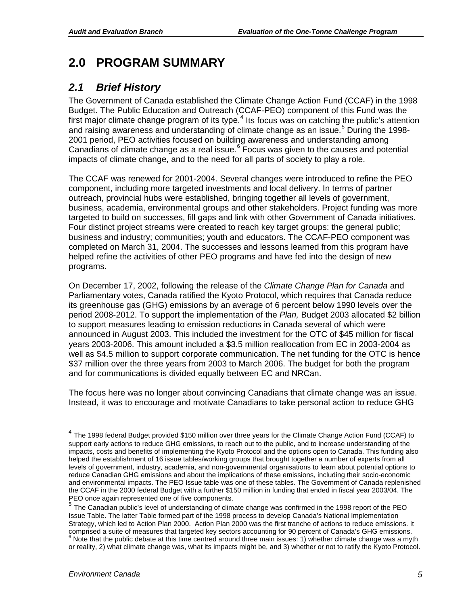### <span id="page-7-0"></span>**2.0 PROGRAM SUMMARY**

### <span id="page-7-1"></span>*2.1 Brief History*

The Government of Canada established the Climate Change Action Fund (CCAF) in the 1998 Budget. The Public Education and Outreach (CCAF-PEO) component of this Fund was the first major climate change program of its type.<sup>[4](#page-7-2)</sup> Its focus was on catching the public's attention and raising awareness and understanding of climate change as an issue. [5](#page-7-3) During the 1998- 2001 period, PEO activities focused on building awareness and understanding among Canadians of climate change as a real issue.<sup>[6](#page-7-4)</sup> Focus was given to the causes and potential impacts of climate change, and to the need for all parts of society to play a role.

The CCAF was renewed for 2001-2004. Several changes were introduced to refine the PEO component, including more targeted investments and local delivery. In terms of partner outreach, provincial hubs were established, bringing together all levels of government, business, academia, environmental groups and other stakeholders. Project funding was more targeted to build on successes, fill gaps and link with other Government of Canada initiatives. Four distinct project streams were created to reach key target groups: the general public; business and industry; communities; youth and educators. The CCAF-PEO component was completed on March 31, 2004. The successes and lessons learned from this program have helped refine the activities of other PEO programs and have fed into the design of new programs.

On December 17, 2002, following the release of the *Climate Change Plan for Canada* and Parliamentary votes, Canada ratified the Kyoto Protocol, which requires that Canada reduce its greenhouse gas (GHG) emissions by an average of 6 percent below 1990 levels over the period 2008-2012. To support the implementation of the *Plan,* Budget 2003 allocated \$2 billion to support measures leading to emission reductions in Canada several of which were announced in August 2003. This included the investment for the OTC of \$45 million for fiscal years 2003-2006. This amount included a \$3.5 million reallocation from EC in 2003-2004 as well as \$4.5 million to support corporate communication. The net funding for the OTC is hence \$37 million over the three years from 2003 to March 2006. The budget for both the program and for communications is divided equally between EC and NRCan.

The focus here was no longer about convincing Canadians that climate change was an issue. Instead, it was to encourage and motivate Canadians to take personal action to reduce GHG

<span id="page-7-2"></span> $4$  The 1998 federal Budget provided \$150 million over three years for the Climate Change Action Fund (CCAF) to support early actions to reduce GHG emissions, to reach out to the public, and to increase understanding of the impacts, costs and benefits of implementing the Kyoto Protocol and the options open to Canada. This funding also helped the establishment of 16 issue tables/working groups that brought together a number of experts from all levels of government, industry, academia, and non-governmental organisations to learn about potential options to reduce Canadian GHG emissions and about the implications of these emissions, including their socio-economic and environmental impacts. The PEO Issue table was one of these tables. The Government of Canada replenished the CCAF in the 2000 federal Budget with a further \$150 million in funding that ended in fiscal year 2003/04. The PEO once again represented one of five components.

<span id="page-7-4"></span><span id="page-7-3"></span><sup>5</sup> The Canadian public's level of understanding of climate change was confirmed in the 1998 report of the PEO Issue Table. The latter Table formed part of the 1998 process to develop Canada's National Implementation Strategy, which led to Action Plan 2000. Action Plan 2000 was the first tranche of actions to reduce emissions. It comprised a suite of measures that targeted key sectors accounting for 90 percent of Canada's GHG emissions.  $6$  Note that the public debate at this time centred around three main issues: 1) whether climate change was a myth or reality, 2) what climate change was, what its impacts might be, and 3) whether or not to ratify the Kyoto Protocol.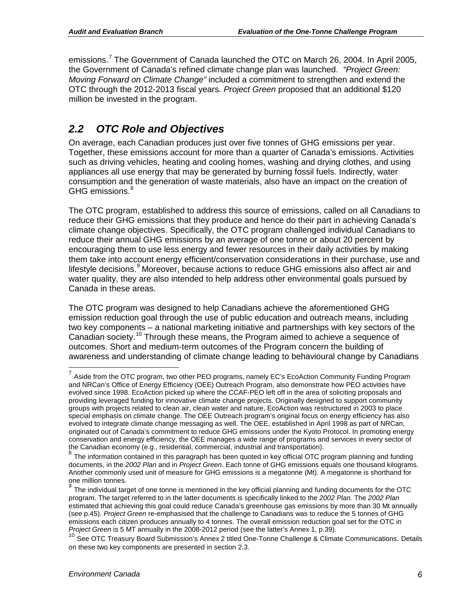emissions.<sup>[7](#page-8-1)</sup> The Government of Canada launched the OTC on March 26, 2004. In April 2005, the Government of Canada's refined climate change plan was launched. *"Project Green: Moving Forward on Climate Change"* included a commitment to strengthen and extend the OTC through the 2012-2013 fiscal years. *Project Green* proposed that an additional \$120 million be invested in the program.

### <span id="page-8-0"></span>*2.2 OTC Role and Objectives*

On average, each Canadian produces just over five tonnes of GHG emissions per year. Together, these emissions account for more than a quarter of Canada's emissions. Activities such as driving vehicles, heating and cooling homes, washing and drying clothes, and using appliances all use energy that may be generated by burning fossil fuels. Indirectly, water consumption and the generation of waste materials, also have an impact on the creation of GHG emissions. [8](#page-8-2)

The OTC program, established to address this source of emissions, called on all Canadians to reduce their GHG emissions that they produce and hence do their part in achieving Canada's climate change objectives. Specifically, the OTC program challenged individual Canadians to reduce their annual GHG emissions by an average of one tonne or about 20 percent by encouraging them to use less energy and fewer resources in their daily activities by making them take into account energy efficient/conservation considerations in their purchase, use and lifestyle decisions.<sup>[9](#page-8-3)</sup> Moreover, because actions to reduce GHG emissions also affect air and water quality, they are also intended to help address other environmental goals pursued by Canada in these areas.

The OTC program was designed to help Canadians achieve the aforementioned GHG emission reduction goal through the use of public education and outreach means, including two key components – a national marketing initiative and partnerships with key sectors of the Canadian society.<sup>[10](#page-8-4)</sup> Through these means, the Program aimed to achieve a sequence of outcomes. Short and medium-term outcomes of the Program concern the building of awareness and understanding of climate change leading to behavioural change by Canadians

<span id="page-8-1"></span> $7$  Aside from the OTC program, two other PEO programs, namely EC's EcoAction Community Funding Program and NRCan's Office of Energy Efficiency (OEE) Outreach Program, also demonstrate how PEO activities have evolved since 1998. EcoAction picked up where the CCAF-PEO left off in the area of soliciting proposals and providing leveraged funding for innovative climate change projects. Originally designed to support community groups with projects related to clean air, clean water and nature, EcoAction was restructured in 2003 to place special emphasis on climate change. The OEE Outreach program's original focus on energy efficiency has also evolved to integrate climate change messaging as well. The OEE, established in April 1998 as part of NRCan, originated out of Canada's commitment to reduce GHG emissions under the Kyoto Protocol. In promoting energy conservation and energy efficiency, the OEE manages a wide range of programs and services in every sector of the<br>the Canadian economy (e.g., residential, commercial, industrial and transportation).

<span id="page-8-2"></span>the Canadian economy (e.g., residential, i.e., industrial, i.e., i.e., i.e., i.e., i.e., i.e., i.e., i.e., i.e., i.e., i.e., i.e., i.e., i.e., i.e., i.e., i.e., i.e., i.e., i.e., i.e., i.e., i.e., i.e., i.e., i.e., i.e., i documents, in the *2002 Plan* and in *Project Green*. Each tonne of GHG emissions equals one thousand kilograms. Another commonly used unit of measure for GHG emissions is a megatonne (Mt). A megatonne is shorthand for one million tonnes.

<span id="page-8-3"></span>The individual target of one tonne is mentioned in the key official planning and funding documents for the OTC program. The target referred to in the latter documents is specifically linked to the *2002 Plan.* The *2002 Plan* estimated that achieving this goal could reduce Canada's greenhouse gas emissions by more than 30 Mt annually (see p.45). *Project Green* re-emphasised that the challenge to Canadians was to reduce the 5 tonnes of GHG emissions each citizen produces annually to 4 tonnes. The overall emission reduction goal set for the OTC in *Project Green* is 5 MT annually in the 2008-2012 period (see the latter's Annex 1, p.39).

<span id="page-8-4"></span>See OTC Treasury Board Submission's Annex 2 titled One-Tonne Challenge & Climate Communications. Details on these two key components are presented in section 2.3.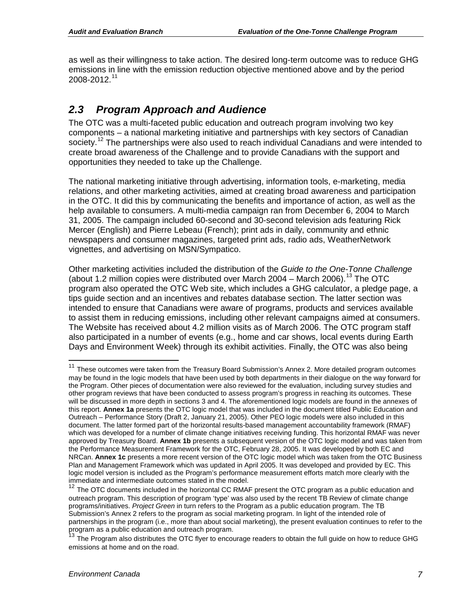as well as their willingness to take action. The desired long-term outcome was to reduce GHG emissions in line with the emission reduction objective mentioned above and by the period 2008-2012. [11](#page-9-1)

### <span id="page-9-0"></span>*2.3 Program Approach and Audience*

The OTC was a multi-faceted public education and outreach program involving two key components – a national marketing initiative and partnerships with key sectors of Canadian society.<sup>[12](#page-9-2)</sup> The partnerships were also used to reach individual Canadians and were intended to create broad awareness of the Challenge and to provide Canadians with the support and opportunities they needed to take up the Challenge.

The national marketing initiative through advertising, information tools, e-marketing, media relations, and other marketing activities, aimed at creating broad awareness and participation in the OTC. It did this by communicating the benefits and importance of action, as well as the help available to consumers. A multi-media campaign ran from December 6, 2004 to March 31, 2005. The campaign included 60-second and 30-second television ads featuring Rick Mercer (English) and Pierre Lebeau (French); print ads in daily, community and ethnic newspapers and consumer magazines, targeted print ads, radio ads, WeatherNetwork vignettes, and advertising on MSN/Sympatico.

Other marketing activities included the distribution of the *Guide to the One-Tonne Challenge*  (about 1.2 million copies were distributed over March 2004 – March 2006).<sup>[13](#page-9-3)</sup> The OTC program also operated the OTC Web site, which includes a GHG calculator, a pledge page, a tips guide section and an incentives and rebates database section. The latter section was intended to ensure that Canadians were aware of programs, products and services available to assist them in reducing emissions, including other relevant campaigns aimed at consumers. The Website has received about 4.2 million visits as of March 2006. The OTC program staff also participated in a number of events (e.g., home and car shows, local events during Earth Days and Environment Week) through its exhibit activities. Finally, the OTC was also being

<span id="page-9-1"></span><sup>&</sup>lt;sup>11</sup> These outcomes were taken from the Treasury Board Submission's Annex 2. More detailed program outcomes may be found in the logic models that have been used by both departments in their dialogue on the way forward for the Program. Other pieces of documentation were also reviewed for the evaluation, including survey studies and other program reviews that have been conducted to assess program's progress in reaching its outcomes. These will be discussed in more depth in sections 3 and 4. The aforementioned logic models are found in the annexes of this report. **Annex 1a** presents the OTC logic model that was included in the document titled Public Education and Outreach – Performance Story (Draft 2, January 21, 2005). Other PEO logic models were also included in this document. The latter formed part of the horizontal results-based management accountability framework (RMAF) which was developed for a number of climate change initiatives receiving funding. This horizontal RMAF was never approved by Treasury Board. **Annex 1b** presents a subsequent version of the OTC logic model and was taken from the Performance Measurement Framework for the OTC, February 28, 2005. It was developed by both EC and NRCan. **Annex 1c** presents a more recent version of the OTC logic model which was taken from the OTC Business Plan and Management Framework which was updated in April 2005. It was developed and provided by EC. This logic model version is included as the Program's performance measurement efforts match more clearly with the immediate and intermediate outcomes stated in the model.

<span id="page-9-2"></span><sup>&</sup>lt;sup>12</sup> The OTC documents included in the horizontal CC RMAF present the OTC program as a public education and outreach program. This description of program 'type' was also used by the recent TB Review of climate change programs/initiatives. *Project Green* in turn refers to the Program as a public education program. The TB Submission's Annex 2 refers to the program as social marketing program. In light of the intended role of partnerships in the program (i.e., more than about social marketing), the present evaluation continues to refer to the program as a public education and outreach program.

<span id="page-9-3"></span>The Program also distributes the OTC flyer to encourage readers to obtain the full guide on how to reduce GHG emissions at home and on the road.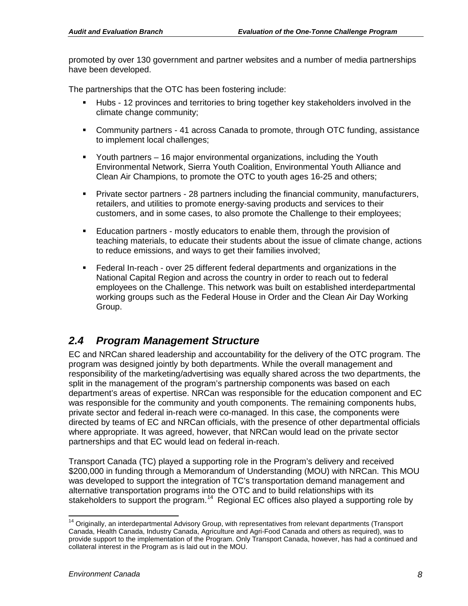promoted by over 130 government and partner websites and a number of media partnerships have been developed.

The partnerships that the OTC has been fostering include:

- Hubs 12 provinces and territories to bring together key stakeholders involved in the climate change community;
- Community partners 41 across Canada to promote, through OTC funding, assistance to implement local challenges;
- Youth partners 16 major environmental organizations, including the Youth Environmental Network, Sierra Youth Coalition, Environmental Youth Alliance and Clean Air Champions, to promote the OTC to youth ages 16-25 and others;
- Private sector partners 28 partners including the financial community, manufacturers, retailers, and utilities to promote energy-saving products and services to their customers, and in some cases, to also promote the Challenge to their employees;
- Education partners mostly educators to enable them, through the provision of teaching materials, to educate their students about the issue of climate change, actions to reduce emissions, and ways to get their families involved;
- Federal In-reach over 25 different federal departments and organizations in the National Capital Region and across the country in order to reach out to federal employees on the Challenge. This network was built on established interdepartmental working groups such as the Federal House in Order and the Clean Air Day Working Group.

### <span id="page-10-0"></span>*2.4 Program Management Structure*

EC and NRCan shared leadership and accountability for the delivery of the OTC program. The program was designed jointly by both departments. While the overall management and responsibility of the marketing/advertising was equally shared across the two departments, the split in the management of the program's partnership components was based on each department's areas of expertise. NRCan was responsible for the education component and EC was responsible for the community and youth components. The remaining components hubs, private sector and federal in-reach were co-managed. In this case, the components were directed by teams of EC and NRCan officials, with the presence of other departmental officials where appropriate. It was agreed, however, that NRCan would lead on the private sector partnerships and that EC would lead on federal in-reach.

Transport Canada (TC) played a supporting role in the Program's delivery and received \$200,000 in funding through a Memorandum of Understanding (MOU) with NRCan. This MOU was developed to support the integration of TC's transportation demand management and alternative transportation programs into the OTC and to build relationships with its stakeholders to support the program.<sup>[14](#page-10-1)</sup> Regional EC offices also played a supporting role by

<span id="page-10-1"></span><sup>&</sup>lt;sup>14</sup> Originally, an interdepartmental Advisory Group, with representatives from relevant departments (Transport Canada, Health Canada, Industry Canada, Agriculture and Agri-Food Canada and others as required), was to provide support to the implementation of the Program. Only Transport Canada, however, has had a continued and collateral interest in the Program as is laid out in the MOU.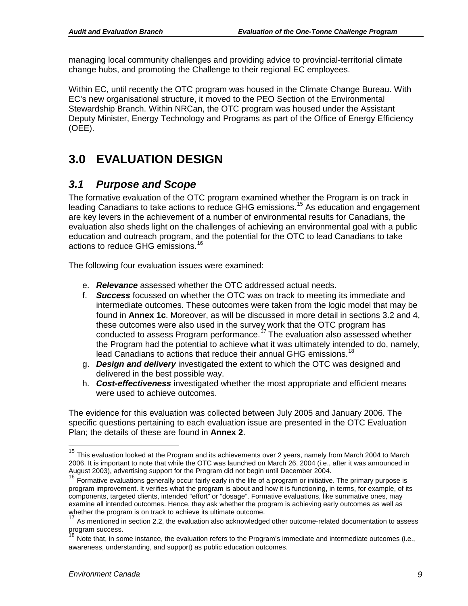managing local community challenges and providing advice to provincial-territorial climate change hubs, and promoting the Challenge to their regional EC employees.

Within EC, until recently the OTC program was housed in the Climate Change Bureau. With EC's new organisational structure, it moved to the PEO Section of the Environmental Stewardship Branch. Within NRCan, the OTC program was housed under the Assistant Deputy Minister, Energy Technology and Programs as part of the Office of Energy Efficiency (OEE).

# <span id="page-11-0"></span>**3.0 EVALUATION DESIGN**

### <span id="page-11-1"></span>*3.1 Purpose and Scope*

The formative evaluation of the OTC program examined whether the Program is on track in leading Canadians to take actions to reduce GHG emissions.<sup>[15](#page-11-2)</sup> As education and engagement are key levers in the achievement of a number of environmental results for Canadians, the evaluation also sheds light on the challenges of achieving an environmental goal with a public education and outreach program, and the potential for the OTC to lead Canadians to take actions to reduce GHG emissions.[16](#page-11-3)

The following four evaluation issues were examined:

- e. *Relevance* assessed whether the OTC addressed actual needs.
- f. *Success* focussed on whether the OTC was on track to meeting its immediate and intermediate outcomes. These outcomes were taken from the logic model that may be found in **Annex 1c**. Moreover, as will be discussed in more detail in sections 3.2 and 4, these outcomes were also used in the survey work that the OTC program has conducted to assess Program performance.<sup>[17](#page-11-4)</sup> The evaluation also assessed whether the Program had the potential to achieve what it was ultimately intended to do, namely, lead Canadians to actions that reduce their annual GHG emissions.<sup>[18](#page-11-5)</sup>
- g. *Design and delivery* investigated the extent to which the OTC was designed and delivered in the best possible way.
- h. *Cost-effectiveness* investigated whether the most appropriate and efficient means were used to achieve outcomes.

The evidence for this evaluation was collected between July 2005 and January 2006. The specific questions pertaining to each evaluation issue are presented in the OTC Evaluation Plan; the details of these are found in **Annex 2**.

<span id="page-11-2"></span><sup>&</sup>lt;sup>15</sup> This evaluation looked at the Program and its achievements over 2 years, namely from March 2004 to March 2006. It is important to note that while the OTC was launched on March 26, 2004 (i.e., after it was announced in August 2003), advertising support for the Program did not begin until December 2004.

<span id="page-11-3"></span><sup>&</sup>lt;sup>16</sup> Formative evaluations generally occur fairly early in the life of a program or initiative. The primary purpose is program improvement. It verifies what the program is about and how it is functioning, in terms, for example, of its components, targeted clients, intended "effort" or "dosage". Formative evaluations, like summative ones, may examine all intended outcomes. Hence, they ask whether the program is achieving early outcomes as well as whether the program is on track to achieve its ultimate outcome.

<span id="page-11-4"></span>As mentioned in section 2.2, the evaluation also acknowledged other outcome-related documentation to assess program success.<br><sup>18</sup> N.<sup>2</sup>

<span id="page-11-5"></span>Note that, in some instance, the evaluation refers to the Program's immediate and intermediate outcomes (i.e., awareness, understanding, and support) as public education outcomes.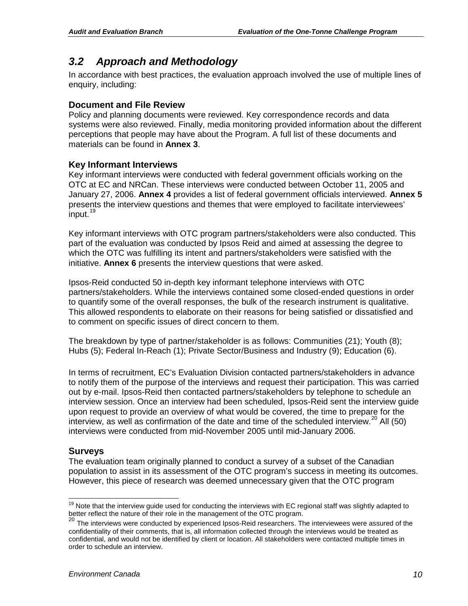### <span id="page-12-0"></span>*3.2 Approach and Methodology*

In accordance with best practices, the evaluation approach involved the use of multiple lines of enquiry, including:

### **Document and File Review**

Policy and planning documents were reviewed. Key correspondence records and data systems were also reviewed. Finally, media monitoring provided information about the different perceptions that people may have about the Program. A full list of these documents and materials can be found in **Annex 3**.

### **Key Informant Interviews**

Key informant interviews were conducted with federal government officials working on the OTC at EC and NRCan. These interviews were conducted between October 11, 2005 and January 27, 2006. **Annex 4** provides a list of federal government officials interviewed. **Annex 5** presents the interview questions and themes that were employed to facilitate interviewees' input.<sup>[19](#page-12-1)</sup>

Key informant interviews with OTC program partners/stakeholders were also conducted. This part of the evaluation was conducted by Ipsos Reid and aimed at assessing the degree to which the OTC was fulfilling its intent and partners/stakeholders were satisfied with the initiative. **Annex 6** presents the interview questions that were asked.

Ipsos-Reid conducted 50 in-depth key informant telephone interviews with OTC partners/stakeholders. While the interviews contained some closed-ended questions in order to quantify some of the overall responses, the bulk of the research instrument is qualitative. This allowed respondents to elaborate on their reasons for being satisfied or dissatisfied and to comment on specific issues of direct concern to them.

The breakdown by type of partner/stakeholder is as follows: Communities (21); Youth (8); Hubs (5); Federal In-Reach (1); Private Sector/Business and Industry (9); Education (6).

In terms of recruitment, EC's Evaluation Division contacted partners/stakeholders in advance to notify them of the purpose of the interviews and request their participation. This was carried out by e-mail. Ipsos-Reid then contacted partners/stakeholders by telephone to schedule an interview session. Once an interview had been scheduled, Ipsos-Reid sent the interview guide upon request to provide an overview of what would be covered, the time to prepare for the interview, as well as confirmation of the date and time of the scheduled interview.<sup>[20](#page-12-2)</sup> All (50) interviews were conducted from mid-November 2005 until mid-January 2006.

### **Surveys**

The evaluation team originally planned to conduct a survey of a subset of the Canadian population to assist in its assessment of the OTC program's success in meeting its outcomes. However, this piece of research was deemed unnecessary given that the OTC program

<span id="page-12-1"></span> $19$  Note that the interview guide used for conducting the interviews with EC regional staff was slightly adapted to better reflect the nature of their role in the management of the OTC program.

<span id="page-12-2"></span><sup>&</sup>lt;sup>20</sup> The interviews were conducted by experienced Ipsos-Reid researchers. The interviewees were assured of the confidentiality of their comments, that is, all information collected through the interviews would be treated as confidential, and would not be identified by client or location. All stakeholders were contacted multiple times in order to schedule an interview.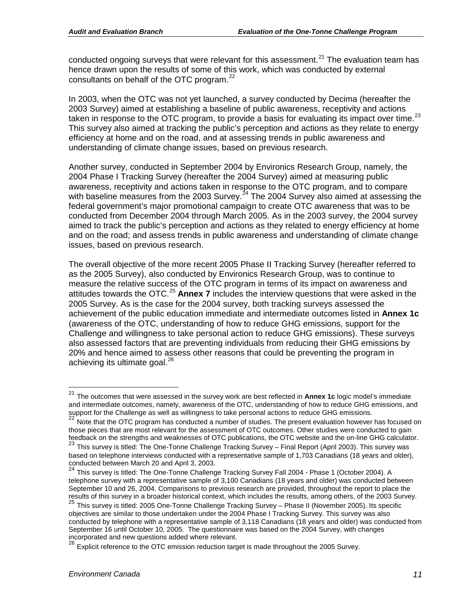conducted ongoing surveys that were relevant for this assessment.<sup>[21](#page-13-0)</sup> The evaluation team has hence drawn upon the results of some of this work, which was conducted by external consultants on behalf of the OTC program. $^{22}$  $^{22}$  $^{22}$ 

In 2003, when the OTC was not yet launched, a survey conducted by Decima (hereafter the 2003 Survey) aimed at establishing a baseline of public awareness, receptivity and actions taken in response to the OTC program, to provide a basis for evaluating its impact over time.<sup>[23](#page-13-2)</sup> This survey also aimed at tracking the public's perception and actions as they relate to energy efficiency at home and on the road, and at assessing trends in public awareness and understanding of climate change issues, based on previous research.

Another survey, conducted in September 2004 by Environics Research Group, namely, the 2004 Phase I Tracking Survey (hereafter the 2004 Survey) aimed at measuring public awareness, receptivity and actions taken in response to the OTC program, and to compare with baseline measures from the 2003 Survey.<sup>[24](#page-13-3)</sup> The 2004 Survey also aimed at assessing the federal government's major promotional campaign to create OTC awareness that was to be conducted from December 2004 through March 2005. As in the 2003 survey, the 2004 survey aimed to track the public's perception and actions as they related to energy efficiency at home and on the road; and assess trends in public awareness and understanding of climate change issues, based on previous research.

The overall objective of the more recent 2005 Phase II Tracking Survey (hereafter referred to as the 2005 Survey), also conducted by Environics Research Group, was to continue to measure the relative success of the OTC program in terms of its impact on awareness and attitudes towards the OTC. [25](#page-13-4) **Annex 7** includes the interview questions that were asked in the 2005 Survey. As is the case for the 2004 survey, both tracking surveys assessed the achievement of the public education immediate and intermediate outcomes listed in **Annex 1c** (awareness of the OTC, understanding of how to reduce GHG emissions, support for the Challenge and willingness to take personal action to reduce GHG emissions). These surveys also assessed factors that are preventing individuals from reducing their GHG emissions by 20% and hence aimed to assess other reasons that could be preventing the program in achieving its ultimate goal.<sup>[26](#page-13-5)</sup>

<span id="page-13-0"></span> <sup>21</sup> The outcomes that were assessed in the survey work are best reflected in **Annex 1c** logic model's immediate and intermediate outcomes, namely, awareness of the OTC, understanding of how to reduce GHG emissions, and support for the Challenge as well as willingness to take personal actions to reduce GHG emissions.<br><sup>22</sup> Note that the OTC program has conducted a number of studies. The present evaluation however has focused on

<span id="page-13-1"></span>those pieces that are most relevant for the assessment of OTC outcomes. Other studies were conducted to gain feedback on the strengths and weaknesses of OTC publications, the OTC website and the on-line GHG calculator.

<span id="page-13-2"></span><sup>23</sup> This survey is titled: The One-Tonne Challenge Tracking Survey – Final Report (April 2003). This survey was based on telephone interviews conducted with a representative sample of 1,703 Canadians (18 years and older), conducted between March 20 and April 3, 2003.

<span id="page-13-3"></span> $^{24}$  This survey is titled: The One-Tonne Challenge Tracking Survey Fall 2004 - Phase 1 (October 2004). A telephone survey with a representative sample of 3,100 Canadians (18 years and older) was conducted between September 10 and 26, 2004. Comparisons to previous research are provided, throughout the report to place the results of this survey in a broader historical context, which includes the results, among others, of the 2003 Survey.

<span id="page-13-4"></span><sup>&</sup>lt;sup>25</sup> This survev is titled: 2005 One-Tonne Challenge Tracking Survey – Phase II (November 2005). Its specific objectives are similar to those undertaken under the 2004 Phase I Tracking Survey. This survey was also conducted by telephone with a representative sample of 3,118 Canadians (18 years and older) was conducted from September 16 until October 10, 2005. The questionnaire was based on the 2004 Survey, with changes incorporated and new questions added where relevant.

<span id="page-13-5"></span><sup>26</sup> Explicit reference to the OTC emission reduction target is made throughout the 2005 Survey.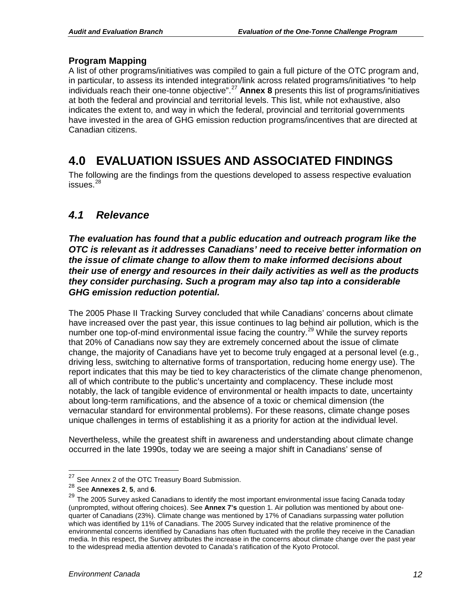### **Program Mapping**

A list of other programs/initiatives was compiled to gain a full picture of the OTC program and, in particular, to assess its intended integration/link across related programs/initiatives "to help individuals reach their one-tonne objective". [27](#page-14-2) **Annex 8** presents this list of programs/initiatives at both the federal and provincial and territorial levels. This list, while not exhaustive, also indicates the extent to, and way in which the federal, provincial and territorial governments have invested in the area of GHG emission reduction programs/incentives that are directed at Canadian citizens.

# <span id="page-14-0"></span>**4.0 EVALUATION ISSUES AND ASSOCIATED FINDINGS**

The following are the findings from the questions developed to assess respective evaluation issues. $^{28}$  $^{28}$  $^{28}$ 

### <span id="page-14-1"></span>*4.1 Relevance*

*The evaluation has found that a public education and outreach program like the OTC is relevant as it addresses Canadians' need to receive better information on the issue of climate change to allow them to make informed decisions about their use of energy and resources in their daily activities as well as the products they consider purchasing. Such a program may also tap into a considerable GHG emission reduction potential.*

The 2005 Phase II Tracking Survey concluded that while Canadians' concerns about climate have increased over the past year, this issue continues to lag behind air pollution, which is the number one top-of-mind environmental issue facing the country.<sup>[29](#page-14-4)</sup> While the survey reports that 20% of Canadians now say they are extremely concerned about the issue of climate change, the majority of Canadians have yet to become truly engaged at a personal level (e.g., driving less, switching to alternative forms of transportation, reducing home energy use). The report indicates that this may be tied to key characteristics of the climate change phenomenon, all of which contribute to the public's uncertainty and complacency. These include most notably, the lack of tangible evidence of environmental or health impacts to date, uncertainty about long-term ramifications, and the absence of a toxic or chemical dimension (the vernacular standard for environmental problems). For these reasons, climate change poses unique challenges in terms of establishing it as a priority for action at the individual level.

Nevertheless, while the greatest shift in awareness and understanding about climate change occurred in the late 1990s, today we are seeing a major shift in Canadians' sense of

<span id="page-14-2"></span><sup>&</sup>lt;sup>27</sup> See Annex 2 of the OTC Treasury Board Submission.<br><sup>28</sup> See **Annexes 2, 5, and 6.** 

<span id="page-14-4"></span><span id="page-14-3"></span><sup>28</sup> See **Annexes 2**, **5**, and **6**. <sup>29</sup> The 2005 Survey asked Canadians to identify the most important environmental issue facing Canada today (unprompted, without offering choices). See **Annex 7's** question 1. Air pollution was mentioned by about onequarter of Canadians (23%). Climate change was mentioned by 17% of Canadians surpassing water pollution which was identified by 11% of Canadians. The 2005 Survey indicated that the relative prominence of the environmental concerns identified by Canadians has often fluctuated with the profile they receive in the Canadian media. In this respect, the Survey attributes the increase in the concerns about climate change over the past year to the widespread media attention devoted to Canada's ratification of the Kyoto Protocol.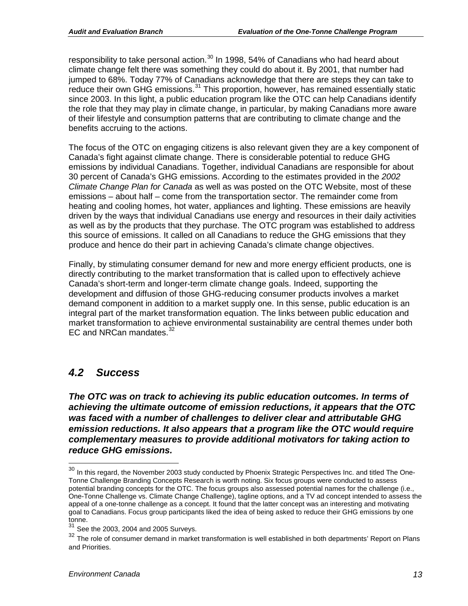responsibility to take personal action.<sup>[30](#page-15-1)</sup> In 1998, 54% of Canadians who had heard about climate change felt there was something they could do about it. By 2001, that number had jumped to 68%. Today 77% of Canadians acknowledge that there are steps they can take to reduce their own GHG emissions.<sup>[31](#page-15-2)</sup> This proportion, however, has remained essentially static since 2003. In this light, a public education program like the OTC can help Canadians identify the role that they may play in climate change, in particular, by making Canadians more aware of their lifestyle and consumption patterns that are contributing to climate change and the benefits accruing to the actions.

The focus of the OTC on engaging citizens is also relevant given they are a key component of Canada's fight against climate change. There is considerable potential to reduce GHG emissions by individual Canadians. Together, individual Canadians are responsible for about 30 percent of Canada's GHG emissions. According to the estimates provided in the *2002 Climate Change Plan for Canada* as well as was posted on the OTC Website, most of these emissions – about half – come from the transportation sector. The remainder come from heating and cooling homes, hot water, appliances and lighting. These emissions are heavily driven by the ways that individual Canadians use energy and resources in their daily activities as well as by the products that they purchase. The OTC program was established to address this source of emissions. It called on all Canadians to reduce the GHG emissions that they produce and hence do their part in achieving Canada's climate change objectives.

Finally, by stimulating consumer demand for new and more energy efficient products, one is directly contributing to the market transformation that is called upon to effectively achieve Canada's short-term and longer-term climate change goals. Indeed, supporting the development and diffusion of those GHG-reducing consumer products involves a market demand component in addition to a market supply one. In this sense, public education is an integral part of the market transformation equation. The links between public education and market transformation to achieve environmental sustainability are central themes under both EC and NRCan mandates.<sup>[32](#page-15-3)</sup>

### <span id="page-15-0"></span>*4.2 Success*

*The OTC was on track to achieving its public education outcomes. In terms of achieving the ultimate outcome of emission reductions, it appears that the OTC was faced with a number of challenges to deliver clear and attributable GHG emission reductions. It also appears that a program like the OTC would require complementary measures to provide additional motivators for taking action to reduce GHG emissions.*

<span id="page-15-1"></span> $30$  In this regard, the November 2003 study conducted by Phoenix Strategic Perspectives Inc. and titled The One-Tonne Challenge Branding Concepts Research is worth noting. Six focus groups were conducted to assess potential branding concepts for the OTC. The focus groups also assessed potential names for the challenge (i.e., One-Tonne Challenge vs. Climate Change Challenge), tagline options, and a TV ad concept intended to assess the appeal of a one-tonne challenge as a concept. It found that the latter concept was an interesting and motivating goal to Canadians. Focus group participants liked the idea of being asked to reduce their GHG emissions by one tonne.

<span id="page-15-2"></span> $31$  See the 2003, 2004 and 2005 Surveys.<br> $32$  The role of consumer damand in market

<span id="page-15-3"></span>The role of consumer demand in market transformation is well established in both departments' Report on Plans and Priorities.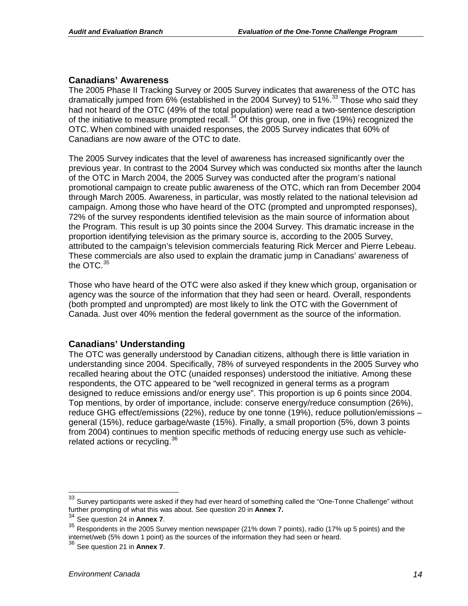### **Canadians' Awareness**

The 2005 Phase II Tracking Survey or 2005 Survey indicates that awareness of the OTC has dramatically jumped from 6% (established in the 2004 Survey) to 51%.<sup>[33](#page-16-0)</sup> Those who said they had not heard of the OTC (49% of the total population) were read a two-sentence description of the initiative to measure prompted recall.<sup>[34](#page-16-1)</sup> Of this group, one in five (19%) recognized the OTC. When combined with unaided responses, the 2005 Survey indicates that 60% of Canadians are now aware of the OTC to date.

The 2005 Survey indicates that the level of awareness has increased significantly over the previous year. In contrast to the 2004 Survey which was conducted six months after the launch of the OTC in March 2004, the 2005 Survey was conducted after the program's national promotional campaign to create public awareness of the OTC, which ran from December 2004 through March 2005. Awareness, in particular, was mostly related to the national television ad campaign. Among those who have heard of the OTC (prompted and unprompted responses), 72% of the survey respondents identified television as the main source of information about the Program. This result is up 30 points since the 2004 Survey. This dramatic increase in the proportion identifying television as the primary source is, according to the 2005 Survey, attributed to the campaign's television commercials featuring Rick Mercer and Pierre Lebeau. These commercials are also used to explain the dramatic jump in Canadians' awareness of the OTC. $35$ 

Those who have heard of the OTC were also asked if they knew which group, organisation or agency was the source of the information that they had seen or heard. Overall, respondents (both prompted and unprompted) are most likely to link the OTC with the Government of Canada. Just over 40% mention the federal government as the source of the information.

### **Canadians' Understanding**

The OTC was generally understood by Canadian citizens, although there is little variation in understanding since 2004. Specifically, 78% of surveyed respondents in the 2005 Survey who recalled hearing about the OTC (unaided responses) understood the initiative. Among these respondents, the OTC appeared to be "well recognized in general terms as a program designed to reduce emissions and/or energy use". This proportion is up 6 points since 2004. Top mentions, by order of importance, include: conserve energy/reduce consumption (26%), reduce GHG effect/emissions (22%), reduce by one tonne (19%), reduce pollution/emissions – general (15%), reduce garbage/waste (15%). Finally, a small proportion (5%, down 3 points from 2004) continues to mention specific methods of reducing energy use such as vehicle-related actions or recycling.<sup>[36](#page-16-3)</sup>

<span id="page-16-0"></span><sup>&</sup>lt;sup>33</sup> Survey participants were asked if they had ever heard of something called the "One-Tonne Challenge" without further prompting of what this was about. See question 20 in **Annex 7.**

<span id="page-16-2"></span><span id="page-16-1"></span><sup>34</sup> See question 24 in **Annex 7**. <sup>35</sup> Respondents in the 2005 Survey mention newspaper (21% down 7 points), radio (17% up 5 points) and the internet/web (5% down 1 point) as the sources of the information they had seen or heard.

<span id="page-16-3"></span><sup>36</sup> See question 21 in **Annex 7**.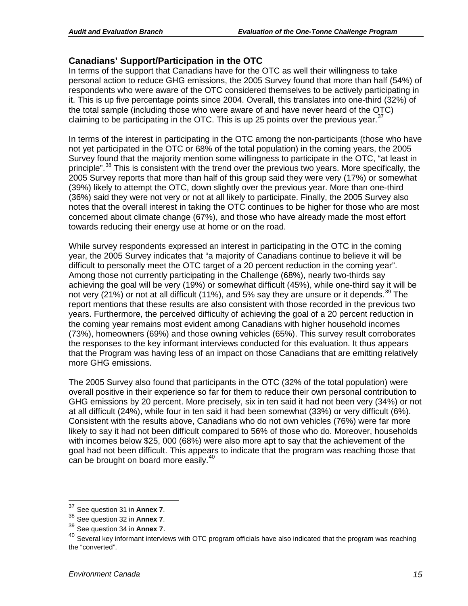### **Canadians' Support/Participation in the OTC**

In terms of the support that Canadians have for the OTC as well their willingness to take personal action to reduce GHG emissions, the 2005 Survey found that more than half (54%) of respondents who were aware of the OTC considered themselves to be actively participating in it. This is up five percentage points since 2004. Overall, this translates into one-third (32%) of the total sample (including those who were aware of and have never heard of the OTC) claiming to be participating in the OTC. This is up 25 points over the previous year.  $37$ 

In terms of the interest in participating in the OTC among the non-participants (those who have not yet participated in the OTC or 68% of the total population) in the coming years, the 2005 Survey found that the majority mention some willingness to participate in the OTC, "at least in principle".<sup>[38](#page-17-1)</sup> This is consistent with the trend over the previous two years. More specifically, the 2005 Survey reports that more than half of this group said they were very (17%) or somewhat (39%) likely to attempt the OTC, down slightly over the previous year. More than one-third (36%) said they were not very or not at all likely to participate. Finally, the 2005 Survey also notes that the overall interest in taking the OTC continues to be higher for those who are most concerned about climate change (67%), and those who have already made the most effort towards reducing their energy use at home or on the road.

While survey respondents expressed an interest in participating in the OTC in the coming year, the 2005 Survey indicates that "a majority of Canadians continue to believe it will be difficult to personally meet the OTC target of a 20 percent reduction in the coming year". Among those not currently participating in the Challenge (68%), nearly two-thirds say achieving the goal will be very (19%) or somewhat difficult (45%), while one-third say it will be not very (21%) or not at all difficult (11%), and 5% say they are unsure or it depends.<sup>[39](#page-17-2)</sup> The report mentions that these results are also consistent with those recorded in the previous two years. Furthermore, the perceived difficulty of achieving the goal of a 20 percent reduction in the coming year remains most evident among Canadians with higher household incomes (73%), homeowners (69%) and those owning vehicles (65%). This survey result corroborates the responses to the key informant interviews conducted for this evaluation. It thus appears that the Program was having less of an impact on those Canadians that are emitting relatively more GHG emissions.

The 2005 Survey also found that participants in the OTC (32% of the total population) were overall positive in their experience so far for them to reduce their own personal contribution to GHG emissions by 20 percent. More precisely, six in ten said it had not been very (34%) or not at all difficult (24%), while four in ten said it had been somewhat (33%) or very difficult (6%). Consistent with the results above, Canadians who do not own vehicles (76%) were far more likely to say it had not been difficult compared to 56% of those who do. Moreover, households with incomes below \$25, 000 (68%) were also more apt to say that the achievement of the goal had not been difficult. This appears to indicate that the program was reaching those that can be brought on board more easily.<sup>[40](#page-17-3)</sup>

<span id="page-17-1"></span>

<span id="page-17-3"></span><span id="page-17-2"></span>

<span id="page-17-0"></span><sup>&</sup>lt;sup>37</sup> See question 31 in **Annex 7**.<br><sup>38</sup> See question 32 in **Annex 7**.<br><sup>39</sup> See question 34 in **Annex 7**.<br><sup>40</sup> Several key informant interviews with OTC program officials have also indicated that the program was reaching the "converted".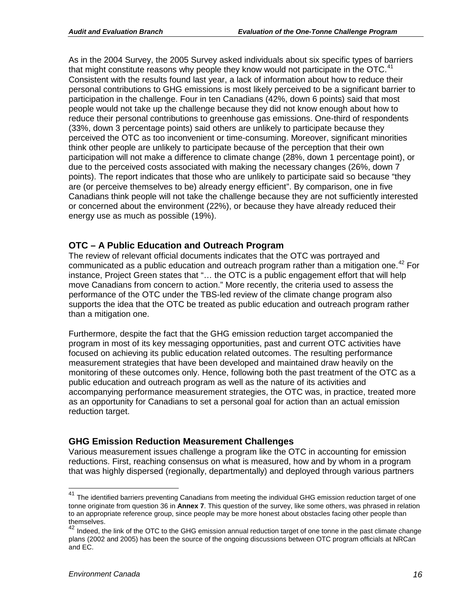As in the 2004 Survey, the 2005 Survey asked individuals about six specific types of barriers that might constitute reasons why people they know would not participate in the OTC.<sup>[41](#page-18-0)</sup> Consistent with the results found last year, a lack of information about how to reduce their personal contributions to GHG emissions is most likely perceived to be a significant barrier to participation in the challenge. Four in ten Canadians (42%, down 6 points) said that most people would not take up the challenge because they did not know enough about how to reduce their personal contributions to greenhouse gas emissions. One-third of respondents (33%, down 3 percentage points) said others are unlikely to participate because they perceived the OTC as too inconvenient or time-consuming. Moreover, significant minorities think other people are unlikely to participate because of the perception that their own participation will not make a difference to climate change (28%, down 1 percentage point), or due to the perceived costs associated with making the necessary changes (26%, down 7 points). The report indicates that those who are unlikely to participate said so because "they are (or perceive themselves to be) already energy efficient". By comparison, one in five Canadians think people will not take the challenge because they are not sufficiently interested or concerned about the environment (22%), or because they have already reduced their energy use as much as possible (19%).

### **OTC – A Public Education and Outreach Program**

The review of relevant official documents indicates that the OTC was portrayed and communicated as a public education and outreach program rather than a mitigation one.<sup>[42](#page-18-1)</sup> For instance, Project Green states that "… the OTC is a public engagement effort that will help move Canadians from concern to action." More recently, the criteria used to assess the performance of the OTC under the TBS-led review of the climate change program also supports the idea that the OTC be treated as public education and outreach program rather than a mitigation one.

Furthermore, despite the fact that the GHG emission reduction target accompanied the program in most of its key messaging opportunities, past and current OTC activities have focused on achieving its public education related outcomes. The resulting performance measurement strategies that have been developed and maintained draw heavily on the monitoring of these outcomes only. Hence, following both the past treatment of the OTC as a public education and outreach program as well as the nature of its activities and accompanying performance measurement strategies, the OTC was, in practice, treated more as an opportunity for Canadians to set a personal goal for action than an actual emission reduction target.

### **GHG Emission Reduction Measurement Challenges**

Various measurement issues challenge a program like the OTC in accounting for emission reductions. First, reaching consensus on what is measured, how and by whom in a program that was highly dispersed (regionally, departmentally) and deployed through various partners

<span id="page-18-0"></span><sup>&</sup>lt;sup>41</sup> The identified barriers preventing Canadians from meeting the individual GHG emission reduction target of one tonne originate from question 36 in **Annex 7**. This question of the survey, like some others, was phrased in relation to an appropriate reference group, since people may be more honest about obstacles facing other people than themselves.

<span id="page-18-1"></span>Indeed, the link of the OTC to the GHG emission annual reduction target of one tonne in the past climate change plans (2002 and 2005) has been the source of the ongoing discussions between OTC program officials at NRCan and EC.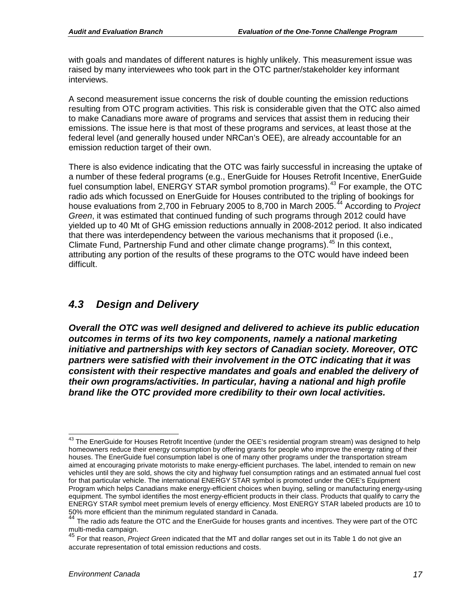with goals and mandates of different natures is highly unlikely. This measurement issue was raised by many interviewees who took part in the OTC partner/stakeholder key informant interviews.

A second measurement issue concerns the risk of double counting the emission reductions resulting from OTC program activities. This risk is considerable given that the OTC also aimed to make Canadians more aware of programs and services that assist them in reducing their emissions. The issue here is that most of these programs and services, at least those at the federal level (and generally housed under NRCan's OEE), are already accountable for an emission reduction target of their own.

There is also evidence indicating that the OTC was fairly successful in increasing the uptake of a number of these federal programs (e.g., EnerGuide for Houses Retrofit Incentive, EnerGuide fuel consumption label, ENERGY STAR symbol promotion programs).<sup>[43](#page-19-1)</sup> For example, the OTC radio ads which focussed on EnerGuide for Houses contributed to the tripling of bookings for house evaluations from 2,700 in February 2005 to 8,700 in March 2005. [44](#page-19-2) According to *Project Green*, it was estimated that continued funding of such programs through 2012 could have yielded up to 40 Mt of GHG emission reductions annually in 2008-2012 period. It also indicated that there was interdependency between the various mechanisms that it proposed (i.e., Climate Fund, Partnership Fund and other climate change programs). [45](#page-19-3) In this context, attributing any portion of the results of these programs to the OTC would have indeed been difficult.

### <span id="page-19-0"></span>*4.3 Design and Delivery*

*Overall the OTC was well designed and delivered to achieve its public education outcomes in terms of its two key components, namely a national marketing initiative and partnerships with key sectors of Canadian society. Moreover, OTC partners were satisfied with their involvement in the OTC indicating that it was consistent with their respective mandates and goals and enabled the delivery of their own programs/activities. In particular, having a national and high profile brand like the OTC provided more credibility to their own local activities.* 

<span id="page-19-1"></span><sup>&</sup>lt;sup>43</sup> The EnerGuide for Houses Retrofit Incentive (under the OEE's residential program stream) was designed to help homeowners reduce their energy consumption by offering grants for people who improve the energy rating of their houses. The EnerGuide fuel consumption label is one of many other programs under the transportation stream aimed at encouraging private motorists to make energy-efficient purchases. The label, intended to remain on new vehicles until they are sold, shows the city and highway fuel consumption ratings and an estimated annual fuel cost for that particular vehicle. The international ENERGY STAR symbol is promoted under the OEE's Equipment Program which helps Canadians make energy-efficient choices when buying, selling or manufacturing energy-using equipment. The symbol identifies the most energy-efficient products in their class. Products that qualify to carry the ENERGY STAR symbol meet premium levels of energy efficiency. Most ENERGY STAR labeled products are 10 to

<span id="page-19-2"></span><sup>50%</sup> more efficient than the minimum regulated standard in Canada. <sup>44</sup> The radio ads feature the OTC and the EnerGuide for houses grants and incentives. They were part of the OTC multi-media campaign.<br><sup>45</sup> For that reason, *Project Green* indicated that the MT and dollar ranges set out in its Table 1 do not give an

<span id="page-19-3"></span>accurate representation of total emission reductions and costs.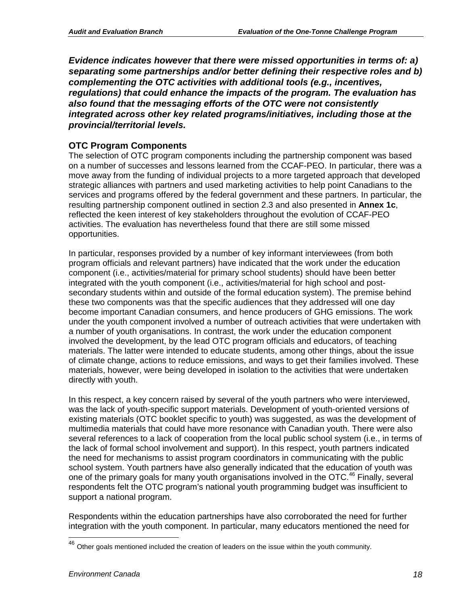*Evidence indicates however that there were missed opportunities in terms of: a) separating some partnerships and/or better defining their respective roles and b) complementing the OTC activities with additional tools (e.g., incentives, regulations) that could enhance the impacts of the program. The evaluation has also found that the messaging efforts of the OTC were not consistently integrated across other key related programs/initiatives, including those at the provincial/territorial levels.*

### **OTC Program Components**

The selection of OTC program components including the partnership component was based on a number of successes and lessons learned from the CCAF-PEO. In particular, there was a move away from the funding of individual projects to a more targeted approach that developed strategic alliances with partners and used marketing activities to help point Canadians to the services and programs offered by the federal government and these partners. In particular, the resulting partnership component outlined in section 2.3 and also presented in **Annex 1c**, reflected the keen interest of key stakeholders throughout the evolution of CCAF-PEO activities. The evaluation has nevertheless found that there are still some missed opportunities.

In particular, responses provided by a number of key informant interviewees (from both program officials and relevant partners) have indicated that the work under the education component (i.e., activities/material for primary school students) should have been better integrated with the youth component (i.e., activities/material for high school and postsecondary students within and outside of the formal education system). The premise behind these two components was that the specific audiences that they addressed will one day become important Canadian consumers, and hence producers of GHG emissions. The work under the youth component involved a number of outreach activities that were undertaken with a number of youth organisations. In contrast, the work under the education component involved the development, by the lead OTC program officials and educators, of teaching materials. The latter were intended to educate students, among other things, about the issue of climate change, actions to reduce emissions, and ways to get their families involved. These materials, however, were being developed in isolation to the activities that were undertaken directly with youth.

In this respect, a key concern raised by several of the youth partners who were interviewed, was the lack of youth-specific support materials. Development of youth-oriented versions of existing materials (OTC booklet specific to youth) was suggested, as was the development of multimedia materials that could have more resonance with Canadian youth. There were also several references to a lack of cooperation from the local public school system (i.e., in terms of the lack of formal school involvement and support). In this respect, youth partners indicated the need for mechanisms to assist program coordinators in communicating with the public school system. Youth partners have also generally indicated that the education of youth was one of the primary goals for many youth organisations involved in the OTC.<sup>[46](#page-20-0)</sup> Finally, several respondents felt the OTC program's national youth programming budget was insufficient to support a national program.

Respondents within the education partnerships have also corroborated the need for further integration with the youth component. In particular, many educators mentioned the need for

<span id="page-20-0"></span> $46$  Other goals mentioned included the creation of leaders on the issue within the youth community.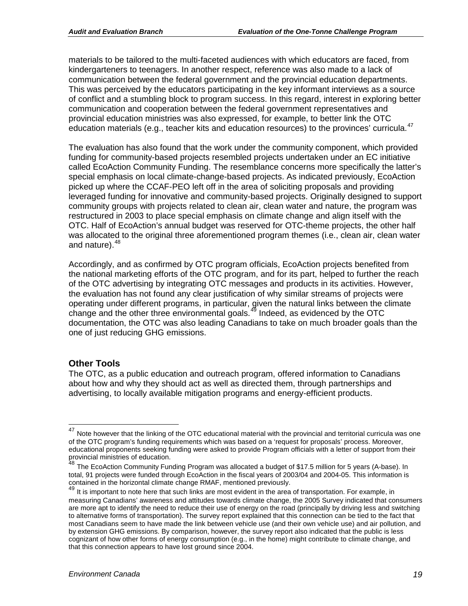materials to be tailored to the multi-faceted audiences with which educators are faced, from kindergarteners to teenagers. In another respect, reference was also made to a lack of communication between the federal government and the provincial education departments. This was perceived by the educators participating in the key informant interviews as a source of conflict and a stumbling block to program success. In this regard, interest in exploring better communication and cooperation between the federal government representatives and provincial education ministries was also expressed, for example, to better link the OTC education materials (e.g., teacher kits and education resources) to the provinces' curricula.<sup>[47](#page-21-0)</sup>

The evaluation has also found that the work under the community component, which provided funding for community-based projects resembled projects undertaken under an EC initiative called EcoAction Community Funding. The resemblance concerns more specifically the latter's special emphasis on local climate-change-based projects. As indicated previously, EcoAction picked up where the CCAF-PEO left off in the area of soliciting proposals and providing leveraged funding for innovative and community-based projects. Originally designed to support community groups with projects related to clean air, clean water and nature, the program was restructured in 2003 to place special emphasis on climate change and align itself with the OTC. Half of EcoAction's annual budget was reserved for OTC-theme projects, the other half was allocated to the original three aforementioned program themes (i.e., clean air, clean water and nature). [48](#page-21-1)

Accordingly, and as confirmed by OTC program officials, EcoAction projects benefited from the national marketing efforts of the OTC program, and for its part, helped to further the reach of the OTC advertising by integrating OTC messages and products in its activities. However, the evaluation has not found any clear justification of why similar streams of projects were operating under different programs, in particular, given the natural links between the climate change and the other three environmental goals. $49$  Indeed, as evidenced by the OTC documentation, the OTC was also leading Canadians to take on much broader goals than the one of just reducing GHG emissions.

### **Other Tools**

The OTC, as a public education and outreach program, offered information to Canadians about how and why they should act as well as directed them, through partnerships and advertising, to locally available mitigation programs and energy-efficient products.

<span id="page-21-0"></span>Note however that the linking of the OTC educational material with the provincial and territorial curricula was one of the OTC program's funding requirements which was based on a 'request for proposals' process. Moreover, educational proponents seeking funding were asked to provide Program officials with a letter of support from their provincial ministries of education.

<span id="page-21-1"></span> $^{48}$  The EcoAction Community Funding Program was allocated a budget of \$17.5 million for 5 years (A-base). In total, 91 projects were funded through EcoAction in the fiscal years of 2003/04 and 2004-05. This information is contained in the horizontal climate change RMAF, mentioned previously.

<span id="page-21-2"></span>It is important to note here that such links are most evident in the area of transportation. For example, in measuring Canadians' awareness and attitudes towards climate change, the 2005 Survey indicated that consumers are more apt to identify the need to reduce their use of energy on the road (principally by driving less and switching to alternative forms of transportation). The survey report explained that this connection can be tied to the fact that most Canadians seem to have made the link between vehicle use (and their own vehicle use) and air pollution, and by extension GHG emissions. By comparison, however, the survey report also indicated that the public is less cognizant of how other forms of energy consumption (e.g., in the home) might contribute to climate change, and that this connection appears to have lost ground since 2004.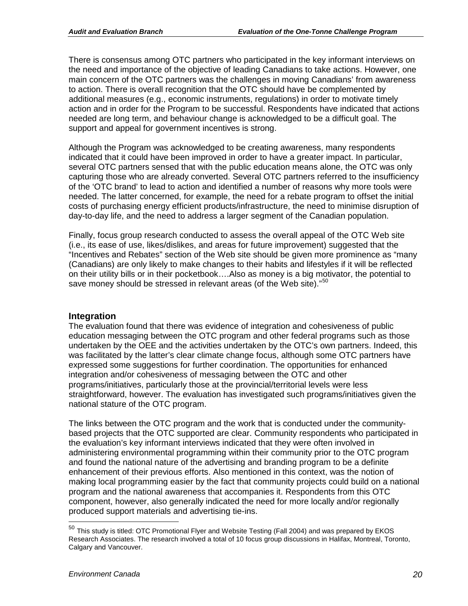There is consensus among OTC partners who participated in the key informant interviews on the need and importance of the objective of leading Canadians to take actions. However, one main concern of the OTC partners was the challenges in moving Canadians' from awareness to action. There is overall recognition that the OTC should have be complemented by additional measures (e.g., economic instruments, regulations) in order to motivate timely action and in order for the Program to be successful. Respondents have indicated that actions needed are long term, and behaviour change is acknowledged to be a difficult goal. The support and appeal for government incentives is strong.

Although the Program was acknowledged to be creating awareness, many respondents indicated that it could have been improved in order to have a greater impact. In particular, several OTC partners sensed that with the public education means alone, the OTC was only capturing those who are already converted. Several OTC partners referred to the insufficiency of the 'OTC brand' to lead to action and identified a number of reasons why more tools were needed. The latter concerned, for example, the need for a rebate program to offset the initial costs of purchasing energy efficient products/infrastructure, the need to minimise disruption of day-to-day life, and the need to address a larger segment of the Canadian population.

Finally, focus group research conducted to assess the overall appeal of the OTC Web site (i.e., its ease of use, likes/dislikes, and areas for future improvement) suggested that the "Incentives and Rebates" section of the Web site should be given more prominence as "many (Canadians) are only likely to make changes to their habits and lifestyles if it will be reflected on their utility bills or in their pocketbook….Also as money is a big motivator, the potential to save money should be stressed in relevant areas (of the Web site)."<sup>[50](#page-22-0)</sup>

### **Integration**

The evaluation found that there was evidence of integration and cohesiveness of public education messaging between the OTC program and other federal programs such as those undertaken by the OEE and the activities undertaken by the OTC's own partners. Indeed, this was facilitated by the latter's clear climate change focus, although some OTC partners have expressed some suggestions for further coordination. The opportunities for enhanced integration and/or cohesiveness of messaging between the OTC and other programs/initiatives, particularly those at the provincial/territorial levels were less straightforward, however. The evaluation has investigated such programs/initiatives given the national stature of the OTC program.

The links between the OTC program and the work that is conducted under the communitybased projects that the OTC supported are clear. Community respondents who participated in the evaluation's key informant interviews indicated that they were often involved in administering environmental programming within their community prior to the OTC program and found the national nature of the advertising and branding program to be a definite enhancement of their previous efforts. Also mentioned in this context, was the notion of making local programming easier by the fact that community projects could build on a national program and the national awareness that accompanies it. Respondents from this OTC component, however, also generally indicated the need for more locally and/or regionally produced support materials and advertising tie-ins.

<span id="page-22-0"></span><sup>&</sup>lt;sup>50</sup> This study is titled: OTC Promotional Flyer and Website Testing (Fall 2004) and was prepared by EKOS Research Associates. The research involved a total of 10 focus group discussions in Halifax, Montreal, Toronto, Calgary and Vancouver.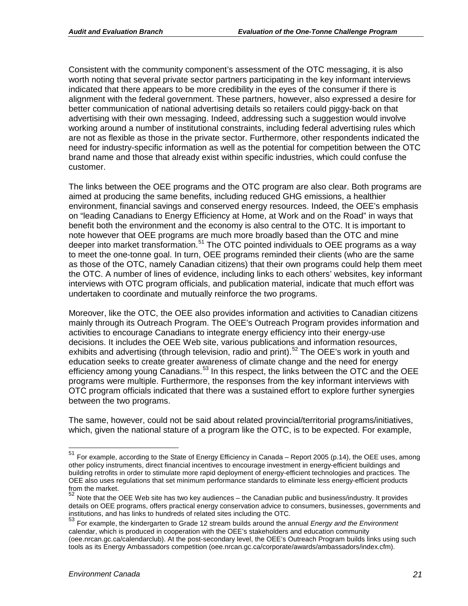Consistent with the community component's assessment of the OTC messaging, it is also worth noting that several private sector partners participating in the key informant interviews indicated that there appears to be more credibility in the eyes of the consumer if there is alignment with the federal government. These partners, however, also expressed a desire for better communication of national advertising details so retailers could piggy-back on that advertising with their own messaging. Indeed, addressing such a suggestion would involve working around a number of institutional constraints, including federal advertising rules which are not as flexible as those in the private sector. Furthermore, other respondents indicated the need for industry-specific information as well as the potential for competition between the OTC brand name and those that already exist within specific industries, which could confuse the customer.

The links between the OEE programs and the OTC program are also clear. Both programs are aimed at producing the same benefits, including reduced GHG emissions, a healthier environment, financial savings and conserved energy resources. Indeed, the OEE's emphasis on "leading Canadians to Energy Efficiency at Home, at Work and on the Road" in ways that benefit both the environment and the economy is also central to the OTC. It is important to note however that OEE programs are much more broadly based than the OTC and mine deeper into market transformation.<sup>[51](#page-23-0)</sup> The OTC pointed individuals to OEE programs as a way to meet the one-tonne goal. In turn, OEE programs reminded their clients (who are the same as those of the OTC, namely Canadian citizens) that their own programs could help them meet the OTC. A number of lines of evidence, including links to each others' websites, key informant interviews with OTC program officials, and publication material, indicate that much effort was undertaken to coordinate and mutually reinforce the two programs.

Moreover, like the OTC, the OEE also provides information and activities to Canadian citizens mainly through its Outreach Program. The OEE's Outreach Program provides information and activities to encourage Canadians to integrate energy efficiency into their energy-use decisions. It includes the OEE Web site, various publications and information resources, exhibits and advertising (through television, radio and print).<sup>[52](#page-23-1)</sup> The OEE's work in youth and education seeks to create greater awareness of climate change and the need for energy efficiency among young Canadians.<sup>[53](#page-23-2)</sup> In this respect, the links between the OTC and the OEE programs were multiple. Furthermore, the responses from the key informant interviews with OTC program officials indicated that there was a sustained effort to explore further synergies between the two programs.

The same, however, could not be said about related provincial/territorial programs/initiatives, which, given the national stature of a program like the OTC, is to be expected. For example,

<span id="page-23-0"></span> <sup>51</sup> For example, according to the State of Energy Efficiency in Canada – Report 2005 (p.14), the OEE uses, among other policy instruments, direct financial incentives to encourage investment in energy-efficient buildings and building retrofits in order to stimulate more rapid deployment of energy-efficient technologies and practices. The OEE also uses regulations that set minimum performance standards to eliminate less energy-efficient products from the market.

<span id="page-23-1"></span>Note that the OEE Web site has two key audiences – the Canadian public and business/industry. It provides details on OEE programs, offers practical energy conservation advice to consumers, businesses, governments and institutions, and has links to hundreds of related sites including the OTC.

<span id="page-23-2"></span><sup>53</sup> For example, the kindergarten to Grade 12 stream builds around the annual *Energy and the Environment* calendar, which is produced in cooperation with the OEE's stakeholders and education community (oee.nrcan.gc.ca/calendarclub). At the post-secondary level, the OEE's Outreach Program builds links using such tools as its Energy Ambassadors competition (oee.nrcan.gc.ca/corporate/awards/ambassadors/index.cfm).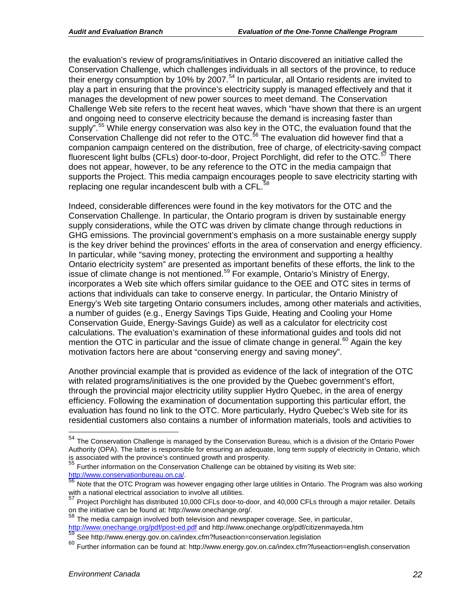the evaluation's review of programs/initiatives in Ontario discovered an initiative called the Conservation Challenge, which challenges individuals in all sectors of the province, to reduce their energy consumption by 10% by 2007.<sup>[54](#page-24-0)</sup> In particular, all Ontario residents are invited to play a part in ensuring that the province's electricity supply is managed effectively and that it manages the development of new power sources to meet demand. The Conservation Challenge Web site refers to the recent heat waves, which "have shown that there is an urgent and ongoing need to conserve electricity because the demand is increasing faster than supply".<sup>[55](#page-24-1)</sup> While energy conservation was also key in the OTC, the evaluation found that the Conservation Challenge did not refer to the OTC.<sup>[56](#page-24-2)</sup> The evaluation did however find that a companion campaign centered on the distribution, free of charge, of electricity-saving compact fluorescent light bulbs (CFLs) door-to-door, Project Porchlight, did refer to the OTC.<sup>[57](#page-24-3)</sup> There does not appear, however, to be any reference to the OTC in the media campaign that supports the Project. This media campaign encourages people to save electricity starting with replacing one regular incandescent bulb with a CFL.<sup>5</sup>

Indeed, considerable differences were found in the key motivators for the OTC and the Conservation Challenge. In particular, the Ontario program is driven by sustainable energy supply considerations, while the OTC was driven by climate change through reductions in GHG emissions. The provincial government's emphasis on a more sustainable energy supply is the key driver behind the provinces' efforts in the area of conservation and energy efficiency. In particular, while "saving money, protecting the environment and supporting a healthy Ontario electricity system" are presented as important benefits of these efforts, the link to the issue of climate change is not mentioned.<sup>[59](#page-24-5)</sup> For example, Ontario's Ministry of Energy, incorporates a Web site which offers similar guidance to the OEE and OTC sites in terms of actions that individuals can take to conserve energy. In particular, the Ontario Ministry of Energy's Web site targeting Ontario consumers includes, among other materials and activities, a number of guides (e.g., Energy Savings Tips Guide, Heating and Cooling your Home Conservation Guide, Energy-Savings Guide) as well as a calculator for electricity cost calculations. The evaluation's examination of these informational guides and tools did not mention the OTC in particular and the issue of climate change in general.<sup>[60](#page-24-6)</sup> Again the key motivation factors here are about "conserving energy and saving money".

Another provincial example that is provided as evidence of the lack of integration of the OTC with related programs/initiatives is the one provided by the Quebec government's effort, through the provincial major electricity utility supplier Hydro Quebec, in the area of energy efficiency. Following the examination of documentation supporting this particular effort, the evaluation has found no link to the OTC. More particularly, Hydro Quebec's Web site for its residential customers also contains a number of information materials, tools and activities to

<sup>58</sup> The media campaign involved both television and newspaper coverage. See, in particular,

<span id="page-24-0"></span><sup>&</sup>lt;sup>54</sup> The Conservation Challenge is managed by the Conservation Bureau, which is a division of the Ontario Power Authority (OPA). The latter is responsible for ensuring an adequate, long term supply of electricity in Ontario, which is associated with the province's continued growth and prosperity.<br>55 Eurits : Continued growth and prosperity.

<span id="page-24-1"></span><sup>&</sup>lt;sup>55</sup> Further information on the Conservation Challenge can be obtained by visiting its Web site:<br> $\frac{http://www.conservationbureau.on.ca/}{56 \text{ Note that the CTC Processing time, hours}}$ 

<span id="page-24-2"></span>Note that the OTC Program was however engaging other large utilities in Ontario. The Program was also working with a national electrical association to involve all utilities.

<span id="page-24-3"></span><sup>57</sup> Project Porchlight has distributed 10,000 CFLs door-to-door, and 40,000 CFLs through a major retailer. Details on the initiative can be found at: http://www.onechange.org/.

<span id="page-24-4"></span><http://www.onechange.org/pdf/post-ed.pdf> and http://www.onechange.org/pdf/citizenmayeda.htm 59<br>See http://www.energy.gov.on.ca/index.cfm?fuseaction=conservation.legislation<br>60 Eurther information con be found at http://www

<span id="page-24-5"></span>

<span id="page-24-6"></span><sup>60</sup> Further information can be found at: http://www.energy.gov.on.ca/index.cfm?fuseaction=english.conservation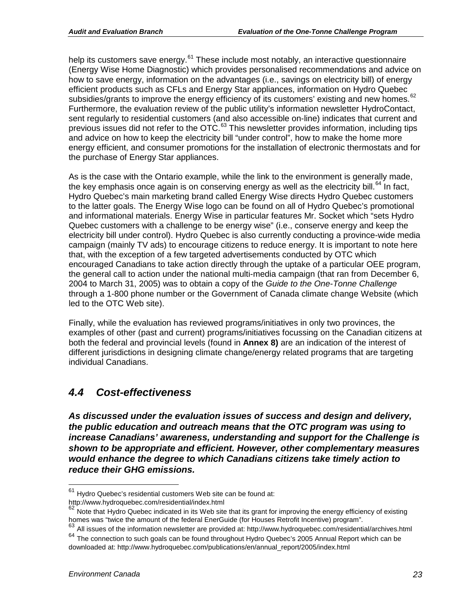help its customers save energy.<sup>[61](#page-25-1)</sup> These include most notably, an interactive questionnaire (Energy Wise Home Diagnostic) which provides personalised recommendations and advice on how to save energy, information on the advantages (i.e., savings on electricity bill) of energy efficient products such as CFLs and Energy Star appliances, information on Hydro Quebec subsidies/grants to improve the energy efficiency of its customers' existing and new homes.<sup>[62](#page-25-2)</sup> Furthermore, the evaluation review of the public utility's information newsletter HydroContact, sent regularly to residential customers (and also accessible on-line) indicates that current and previous issues did not refer to the OTC.[63](#page-25-3) This newsletter provides information, including tips and advice on how to keep the electricity bill "under control", how to make the home more energy efficient, and consumer promotions for the installation of electronic thermostats and for the purchase of Energy Star appliances.

As is the case with the Ontario example, while the link to the environment is generally made, the key emphasis once again is on conserving energy as well as the electricity bill.<sup>[64](#page-25-4)</sup> In fact, Hydro Quebec's main marketing brand called Energy Wise directs Hydro Quebec customers to the latter goals. The Energy Wise logo can be found on all of Hydro Quebec's promotional and informational materials. Energy Wise in particular features Mr. Socket which "sets Hydro Quebec customers with a challenge to be energy wise" (i.e., conserve energy and keep the electricity bill under control). Hydro Quebec is also currently conducting a province-wide media campaign (mainly TV ads) to encourage citizens to reduce energy. It is important to note here that, with the exception of a few targeted advertisements conducted by OTC which encouraged Canadians to take action directly through the uptake of a particular OEE program, the general call to action under the national multi-media campaign (that ran from December 6, 2004 to March 31, 2005) was to obtain a copy of the *Guide to the One-Tonne Challenge* through a 1-800 phone number or the Government of Canada climate change Website (which led to the OTC Web site).

Finally, while the evaluation has reviewed programs/initiatives in only two provinces, the examples of other (past and current) programs/initiatives focussing on the Canadian citizens at both the federal and provincial levels (found in **Annex 8)** are an indication of the interest of different jurisdictions in designing climate change/energy related programs that are targeting individual Canadians.

### <span id="page-25-0"></span>*4.4 Cost-effectiveness*

*As discussed under the evaluation issues of success and design and delivery, the public education and outreach means that the OTC program was using to increase Canadians' awareness, understanding and support for the Challenge is shown to be appropriate and efficient. However, other complementary measures would enhance the degree to which Canadians citizens take timely action to reduce their GHG emissions.*

<span id="page-25-1"></span> $61$  Hydro Quebec's residential customers Web site can be found at: http://www.hydroquebec.com/residential/index.html

<span id="page-25-2"></span> $62$  Note that Hydro Quebec indicated in its Web site that its grant for improving the energy efficiency of existing homes was "twice the amount of the federal EnerGuide (for Houses Retrofit Incentive) program".

<span id="page-25-4"></span><span id="page-25-3"></span> $63$  All issues of the information newsletter are provided at: http://www.hydroquebec.com/residential/archives.html <sup>64</sup> The connection to such goals can be found throughout Hydro Quebec's 2005 Annual Report which can be downloaded at: http://www.hydroquebec.com/publications/en/annual\_report/2005/index.html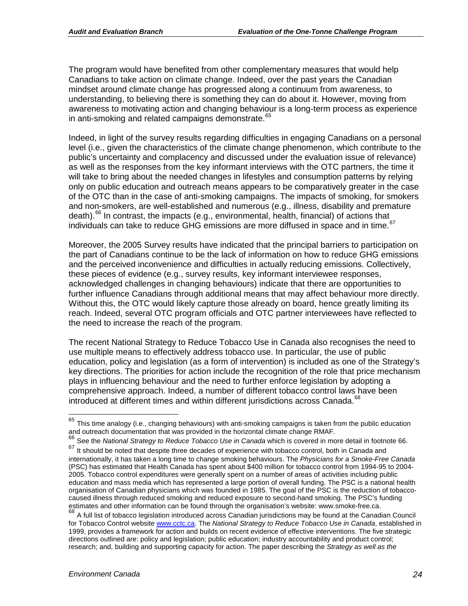The program would have benefited from other complementary measures that would help Canadians to take action on climate change. Indeed, over the past years the Canadian mindset around climate change has progressed along a continuum from awareness, to understanding, to believing there is something they can do about it. However, moving from awareness to motivating action and changing behaviour is a long-term process as experience in anti-smoking and related campaigns demonstrate.<sup>[65](#page-26-0)</sup>

Indeed, in light of the survey results regarding difficulties in engaging Canadians on a personal level (i.e., given the characteristics of the climate change phenomenon, which contribute to the public's uncertainty and complacency and discussed under the evaluation issue of relevance) as well as the responses from the key informant interviews with the OTC partners, the time it will take to bring about the needed changes in lifestyles and consumption patterns by relying only on public education and outreach means appears to be comparatively greater in the case of the OTC than in the case of anti-smoking campaigns. The impacts of smoking, for smokers and non-smokers, are well-established and numerous (e.g., illness, disability and premature death).<sup>[66](#page-26-1)</sup> In contrast, the impacts (e.g., environmental, health, financial) of actions that individuals can take to reduce GHG emissions are more diffused in space and in time.<sup>[67](#page-26-2)</sup>

Moreover, the 2005 Survey results have indicated that the principal barriers to participation on the part of Canadians continue to be the lack of information on how to reduce GHG emissions and the perceived inconvenience and difficulties in actually reducing emissions. Collectively, these pieces of evidence (e.g., survey results, key informant interviewee responses, acknowledged challenges in changing behaviours) indicate that there are opportunities to further influence Canadians through additional means that may affect behaviour more directly. Without this, the OTC would likely capture those already on board, hence greatly limiting its reach. Indeed, several OTC program officials and OTC partner interviewees have reflected to the need to increase the reach of the program.

The recent National Strategy to Reduce Tobacco Use in Canada also recognises the need to use multiple means to effectively address tobacco use. In particular, the use of public education, policy and legislation (as a form of intervention) is included as one of the Strategy's key directions. The priorities for action include the recognition of the role that price mechanism plays in influencing behaviour and the need to further enforce legislation by adopting a comprehensive approach. Indeed, a number of different tobacco control laws have been introduced at different times and within different jurisdictions across Canada.<sup>[68](#page-26-3)</sup>

<span id="page-26-0"></span> $65$  This time analogy (i.e., changing behaviours) with anti-smoking campaigns is taken from the public education and outreach documentation that was provided in the horizontal climate change RMAF.

<span id="page-26-1"></span><sup>66</sup> See the *National Strategy to Reduce Tobacco Use in Canada* which is covered in more detail in footnote 66.

<span id="page-26-2"></span><sup>67</sup> It should be noted that despite three decades of experience with tobacco control, both in Canada and internationally, it has taken a long time to change smoking behaviours. The *Physicians for a Smoke-Free Canada*  (PSC) has estimated that Health Canada has spent about \$400 million for tobacco control from 1994-95 to 2004- 2005. Tobacco control expenditures were generally spent on a number of areas of activities including public education and mass media which has represented a large portion of overall funding. The PSC is a national health organisation of Canadian physicians which was founded in 1985. The goal of the PSC is the reduction of tobaccocaused illness through reduced smoking and reduced exposure to second-hand smoking. The PSC's funding estimates and other information can be found through the organisation's website: www.smoke-free.ca.

<span id="page-26-3"></span><sup>&</sup>lt;sup>68</sup> A full list of tobacco legislation introduced across Canadian jurisdictions may be found at the Canadian Council for Tobacco Control website [www.cctc.ca.](http://www.cctc.ca/) The *National Strategy to Reduce Tobacco Use in Canada*, established in 1999, provides a framework for action and builds on recent evidence of effective interventions. The five strategic directions outlined are: policy and legislation; public education; industry accountability and product control; research; and, building and supporting capacity for action. The paper describing the *Strategy as well as the*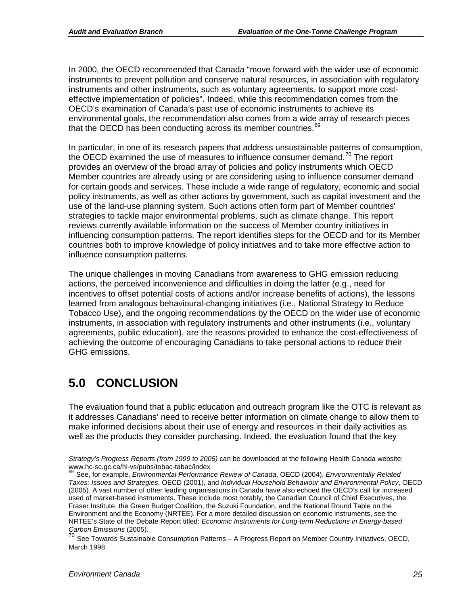In 2000, the OECD recommended that Canada "move forward with the wider use of economic instruments to prevent pollution and conserve natural resources, in association with regulatory instruments and other instruments, such as voluntary agreements, to support more costeffective implementation of policies". Indeed, while this recommendation comes from the OECD's examination of Canada's past use of economic instruments to achieve its environmental goals, the recommendation also comes from a wide array of research pieces that the OECD has been conducting across its member countries.<sup>[69](#page-27-1)</sup>

In particular, in one of its research papers that address unsustainable patterns of consumption, the OECD examined the use of measures to influence consumer demand.<sup>[70](#page-27-2)</sup> The report provides an overview of the broad array of policies and policy instruments which OECD Member countries are already using or are considering using to influence consumer demand for certain goods and services. These include a wide range of regulatory, economic and social policy instruments, as well as other actions by government, such as capital investment and the use of the land-use planning system. Such actions often form part of Member countries' strategies to tackle major environmental problems, such as climate change. This report reviews currently available information on the success of Member country initiatives in influencing consumption patterns. The report identifies steps for the OECD and for its Member countries both to improve knowledge of policy initiatives and to take more effective action to influence consumption patterns.

The unique challenges in moving Canadians from awareness to GHG emission reducing actions, the perceived inconvenience and difficulties in doing the latter (e.g., need for incentives to offset potential costs of actions and/or increase benefits of actions), the lessons learned from analogous behavioural-changing initiatives (i.e., National Strategy to Reduce Tobacco Use), and the ongoing recommendations by the OECD on the wider use of economic instruments, in association with regulatory instruments and other instruments (i.e., voluntary agreements, public education), are the reasons provided to enhance the cost-effectiveness of achieving the outcome of encouraging Canadians to take personal actions to reduce their GHG emissions.

# <span id="page-27-0"></span>**5.0 CONCLUSION**

The evaluation found that a public education and outreach program like the OTC is relevant as it addresses Canadians' need to receive better information on climate change to allow them to make informed decisions about their use of energy and resources in their daily activities as well as the products they consider purchasing. Indeed, the evaluation found that the key

 $\overline{a}$ 

*Strategy's Progress Reports (from 1999 to 2005)* can be downloaded at the following Health Canada website: www.hc-sc.gc.ca/hl-vs/pubs/tobac-tabac/index<br><sup>69</sup> See, for example, *Environmental Performance Review of Canada*, OECD (2004), *Environmentally Related* 

<span id="page-27-1"></span>*Taxes: Issues and Strategies*, OECD (2001), and *Individual Household Behaviour and Environmental Policy*, OECD (2005). A vast number of other leading organisations in Canada have also echoed the OECD's call for increased used of market-based instruments. These include most notably, the Canadian Council of Chief Executives, the Fraser Institute, the Green Budget Coalition, the Suzuki Foundation, and the National Round Table on the Environment and the Economy (NRTEE). For a more detailed discussion on economic instruments, see the NRTEE's State of the Debate Report titled: *Economic Instruments for Long-term Reductions in Energy-based Carbon Emissions* (2005).

<span id="page-27-2"></span>See Towards Sustainable Consumption Patterns - A Progress Report on Member Country Initiatives, OECD, March 1998.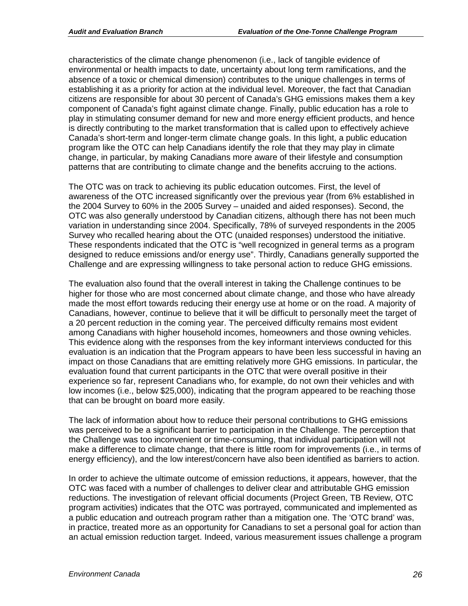characteristics of the climate change phenomenon (i.e., lack of tangible evidence of environmental or health impacts to date, uncertainty about long term ramifications, and the absence of a toxic or chemical dimension) contributes to the unique challenges in terms of establishing it as a priority for action at the individual level. Moreover, the fact that Canadian citizens are responsible for about 30 percent of Canada's GHG emissions makes them a key component of Canada's fight against climate change. Finally, public education has a role to play in stimulating consumer demand for new and more energy efficient products, and hence is directly contributing to the market transformation that is called upon to effectively achieve Canada's short-term and longer-term climate change goals. In this light, a public education program like the OTC can help Canadians identify the role that they may play in climate change, in particular, by making Canadians more aware of their lifestyle and consumption patterns that are contributing to climate change and the benefits accruing to the actions.

The OTC was on track to achieving its public education outcomes. First, the level of awareness of the OTC increased significantly over the previous year (from 6% established in the 2004 Survey to 60% in the 2005 Survey – unaided and aided responses). Second, the OTC was also generally understood by Canadian citizens, although there has not been much variation in understanding since 2004. Specifically, 78% of surveyed respondents in the 2005 Survey who recalled hearing about the OTC (unaided responses) understood the initiative. These respondents indicated that the OTC is "well recognized in general terms as a program designed to reduce emissions and/or energy use". Thirdly, Canadians generally supported the Challenge and are expressing willingness to take personal action to reduce GHG emissions.

The evaluation also found that the overall interest in taking the Challenge continues to be higher for those who are most concerned about climate change, and those who have already made the most effort towards reducing their energy use at home or on the road. A majority of Canadians, however, continue to believe that it will be difficult to personally meet the target of a 20 percent reduction in the coming year. The perceived difficulty remains most evident among Canadians with higher household incomes, homeowners and those owning vehicles. This evidence along with the responses from the key informant interviews conducted for this evaluation is an indication that the Program appears to have been less successful in having an impact on those Canadians that are emitting relatively more GHG emissions. In particular, the evaluation found that current participants in the OTC that were overall positive in their experience so far, represent Canadians who, for example, do not own their vehicles and with low incomes (i.e., below \$25,000), indicating that the program appeared to be reaching those that can be brought on board more easily.

The lack of information about how to reduce their personal contributions to GHG emissions was perceived to be a significant barrier to participation in the Challenge. The perception that the Challenge was too inconvenient or time-consuming, that individual participation will not make a difference to climate change, that there is little room for improvements (i.e., in terms of energy efficiency), and the low interest/concern have also been identified as barriers to action.

In order to achieve the ultimate outcome of emission reductions, it appears, however, that the OTC was faced with a number of challenges to deliver clear and attributable GHG emission reductions. The investigation of relevant official documents (Project Green, TB Review, OTC program activities) indicates that the OTC was portrayed, communicated and implemented as a public education and outreach program rather than a mitigation one. The 'OTC brand' was, in practice, treated more as an opportunity for Canadians to set a personal goal for action than an actual emission reduction target. Indeed, various measurement issues challenge a program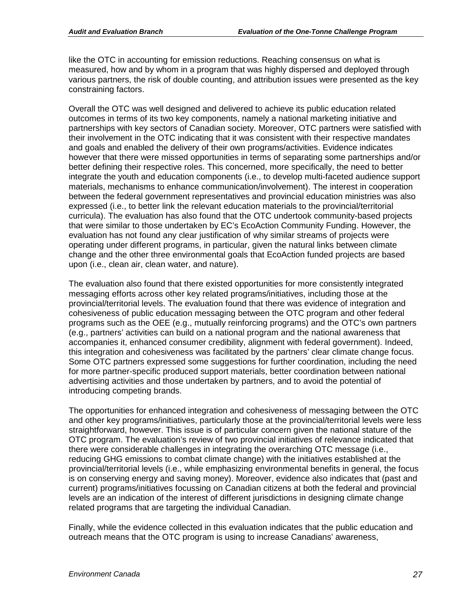like the OTC in accounting for emission reductions. Reaching consensus on what is measured, how and by whom in a program that was highly dispersed and deployed through various partners, the risk of double counting, and attribution issues were presented as the key constraining factors.

Overall the OTC was well designed and delivered to achieve its public education related outcomes in terms of its two key components, namely a national marketing initiative and partnerships with key sectors of Canadian society. Moreover, OTC partners were satisfied with their involvement in the OTC indicating that it was consistent with their respective mandates and goals and enabled the delivery of their own programs/activities. Evidence indicates however that there were missed opportunities in terms of separating some partnerships and/or better defining their respective roles. This concerned, more specifically, the need to better integrate the youth and education components (i.e., to develop multi-faceted audience support materials, mechanisms to enhance communication/involvement). The interest in cooperation between the federal government representatives and provincial education ministries was also expressed (i.e., to better link the relevant education materials to the provincial/territorial curricula). The evaluation has also found that the OTC undertook community-based projects that were similar to those undertaken by EC's EcoAction Community Funding. However, the evaluation has not found any clear justification of why similar streams of projects were operating under different programs, in particular, given the natural links between climate change and the other three environmental goals that EcoAction funded projects are based upon (i.e., clean air, clean water, and nature).

The evaluation also found that there existed opportunities for more consistently integrated messaging efforts across other key related programs/initiatives, including those at the provincial/territorial levels. The evaluation found that there was evidence of integration and cohesiveness of public education messaging between the OTC program and other federal programs such as the OEE (e.g., mutually reinforcing programs) and the OTC's own partners (e.g., partners' activities can build on a national program and the national awareness that accompanies it, enhanced consumer credibility, alignment with federal government). Indeed, this integration and cohesiveness was facilitated by the partners' clear climate change focus. Some OTC partners expressed some suggestions for further coordination, including the need for more partner-specific produced support materials, better coordination between national advertising activities and those undertaken by partners, and to avoid the potential of introducing competing brands.

The opportunities for enhanced integration and cohesiveness of messaging between the OTC and other key programs/initiatives, particularly those at the provincial/territorial levels were less straightforward, however. This issue is of particular concern given the national stature of the OTC program. The evaluation's review of two provincial initiatives of relevance indicated that there were considerable challenges in integrating the overarching OTC message (i.e., reducing GHG emissions to combat climate change) with the initiatives established at the provincial/territorial levels (i.e., while emphasizing environmental benefits in general, the focus is on conserving energy and saving money). Moreover, evidence also indicates that (past and current) programs/initiatives focussing on Canadian citizens at both the federal and provincial levels are an indication of the interest of different jurisdictions in designing climate change related programs that are targeting the individual Canadian.

Finally, while the evidence collected in this evaluation indicates that the public education and outreach means that the OTC program is using to increase Canadians' awareness,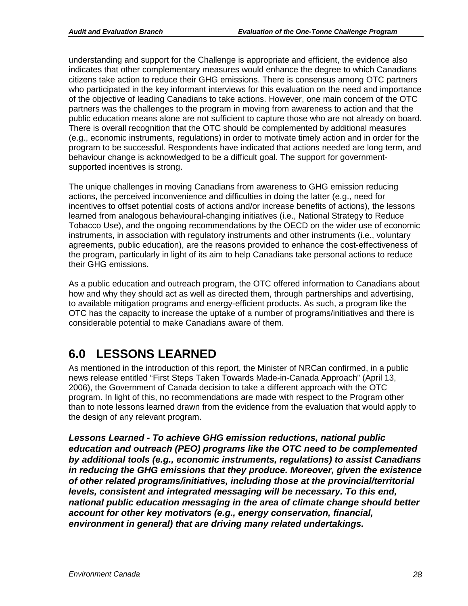understanding and support for the Challenge is appropriate and efficient, the evidence also indicates that other complementary measures would enhance the degree to which Canadians citizens take action to reduce their GHG emissions. There is consensus among OTC partners who participated in the key informant interviews for this evaluation on the need and importance of the objective of leading Canadians to take actions. However, one main concern of the OTC partners was the challenges to the program in moving from awareness to action and that the public education means alone are not sufficient to capture those who are not already on board. There is overall recognition that the OTC should be complemented by additional measures (e.g., economic instruments, regulations) in order to motivate timely action and in order for the program to be successful. Respondents have indicated that actions needed are long term, and behaviour change is acknowledged to be a difficult goal. The support for governmentsupported incentives is strong.

The unique challenges in moving Canadians from awareness to GHG emission reducing actions, the perceived inconvenience and difficulties in doing the latter (e.g., need for incentives to offset potential costs of actions and/or increase benefits of actions), the lessons learned from analogous behavioural-changing initiatives (i.e., National Strategy to Reduce Tobacco Use), and the ongoing recommendations by the OECD on the wider use of economic instruments, in association with regulatory instruments and other instruments (i.e., voluntary agreements, public education), are the reasons provided to enhance the cost-effectiveness of the program, particularly in light of its aim to help Canadians take personal actions to reduce their GHG emissions.

As a public education and outreach program, the OTC offered information to Canadians about how and why they should act as well as directed them, through partnerships and advertising, to available mitigation programs and energy-efficient products. As such, a program like the OTC has the capacity to increase the uptake of a number of programs/initiatives and there is considerable potential to make Canadians aware of them.

# <span id="page-30-0"></span>**6.0 LESSONS LEARNED**

As mentioned in the introduction of this report, the Minister of NRCan confirmed, in a public news release entitled "First Steps Taken Towards Made-in-Canada Approach" (April 13, 2006), the Government of Canada decision to take a different approach with the OTC program. In light of this, no recommendations are made with respect to the Program other than to note lessons learned drawn from the evidence from the evaluation that would apply to the design of any relevant program.

*Lessons Learned - To achieve GHG emission reductions, national public education and outreach (PEO) programs like the OTC need to be complemented by additional tools (e.g., economic instruments, regulations) to assist Canadians in reducing the GHG emissions that they produce. Moreover, given the existence of other related programs/initiatives, including those at the provincial/territorial levels, consistent and integrated messaging will be necessary. To this end, national public education messaging in the area of climate change should better account for other key motivators (e.g., energy conservation, financial, environment in general) that are driving many related undertakings.*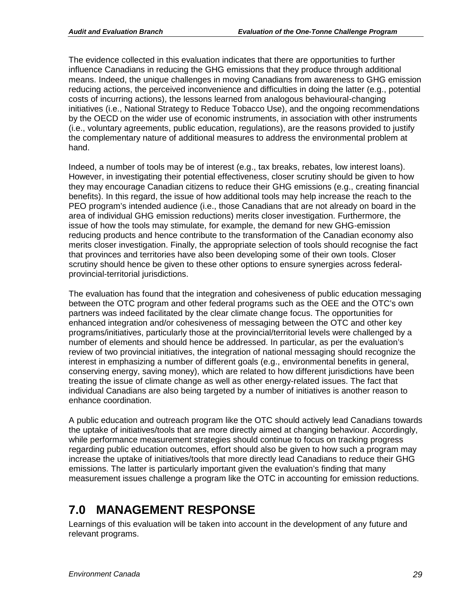The evidence collected in this evaluation indicates that there are opportunities to further influence Canadians in reducing the GHG emissions that they produce through additional means. Indeed, the unique challenges in moving Canadians from awareness to GHG emission reducing actions, the perceived inconvenience and difficulties in doing the latter (e.g., potential costs of incurring actions), the lessons learned from analogous behavioural-changing initiatives (i.e., National Strategy to Reduce Tobacco Use), and the ongoing recommendations by the OECD on the wider use of economic instruments, in association with other instruments (i.e., voluntary agreements, public education, regulations), are the reasons provided to justify the complementary nature of additional measures to address the environmental problem at hand.

Indeed, a number of tools may be of interest (e.g., tax breaks, rebates, low interest loans). However, in investigating their potential effectiveness, closer scrutiny should be given to how they may encourage Canadian citizens to reduce their GHG emissions (e.g., creating financial benefits). In this regard, the issue of how additional tools may help increase the reach to the PEO program's intended audience (i.e., those Canadians that are not already on board in the area of individual GHG emission reductions) merits closer investigation. Furthermore, the issue of how the tools may stimulate, for example, the demand for new GHG-emission reducing products and hence contribute to the transformation of the Canadian economy also merits closer investigation. Finally, the appropriate selection of tools should recognise the fact that provinces and territories have also been developing some of their own tools. Closer scrutiny should hence be given to these other options to ensure synergies across federalprovincial-territorial jurisdictions.

The evaluation has found that the integration and cohesiveness of public education messaging between the OTC program and other federal programs such as the OEE and the OTC's own partners was indeed facilitated by the clear climate change focus. The opportunities for enhanced integration and/or cohesiveness of messaging between the OTC and other key programs/initiatives, particularly those at the provincial/territorial levels were challenged by a number of elements and should hence be addressed. In particular, as per the evaluation's review of two provincial initiatives, the integration of national messaging should recognize the interest in emphasizing a number of different goals (e.g., environmental benefits in general, conserving energy, saving money), which are related to how different jurisdictions have been treating the issue of climate change as well as other energy-related issues. The fact that individual Canadians are also being targeted by a number of initiatives is another reason to enhance coordination.

A public education and outreach program like the OTC should actively lead Canadians towards the uptake of initiatives/tools that are more directly aimed at changing behaviour. Accordingly, while performance measurement strategies should continue to focus on tracking progress regarding public education outcomes, effort should also be given to how such a program may increase the uptake of initiatives/tools that more directly lead Canadians to reduce their GHG emissions. The latter is particularly important given the evaluation's finding that many measurement issues challenge a program like the OTC in accounting for emission reductions.

# <span id="page-31-0"></span>**7.0 MANAGEMENT RESPONSE**

Learnings of this evaluation will be taken into account in the development of any future and relevant programs.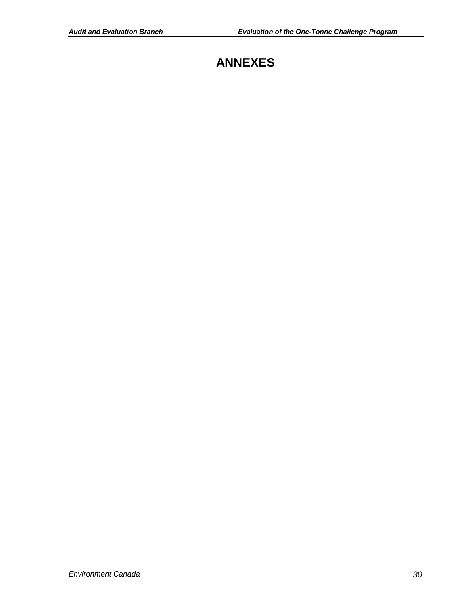# **ANNEXES**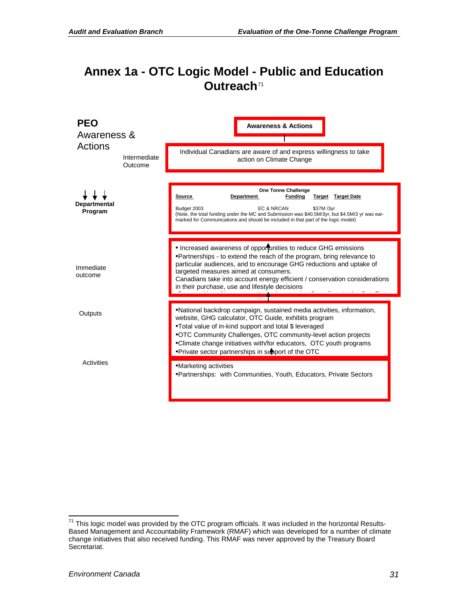### <span id="page-33-0"></span>**Annex 1a - OTC Logic Model - Public and Education Outreach**[71](#page-33-1)



<span id="page-33-1"></span> $71$  This logic model was provided by the OTC program officials. It was included in the horizontal Results-Based Management and Accountability Framework (RMAF) which was developed for a number of climate change initiatives that also received funding. This RMAF was never approved by the Treasury Board Secretariat.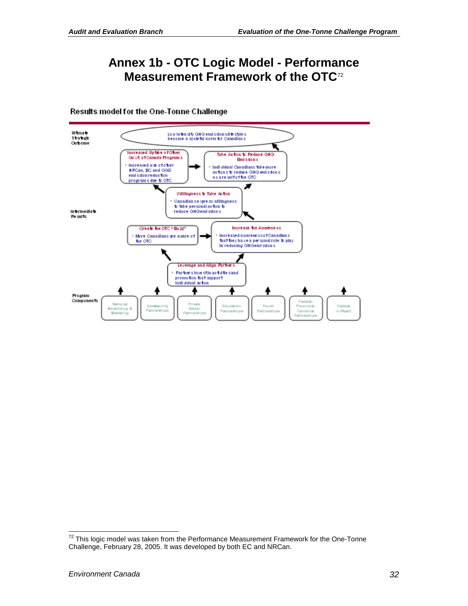### <span id="page-34-0"></span>**Annex 1b - OTC Logic Model - Performance Measurement Framework of the OTC**[72](#page-34-1)

#### Results model for the One-Tonne Challenge



<span id="page-34-1"></span> $72$  This logic model was taken from the Performance Measurement Framework for the One-Tonne Challenge, February 28, 2005. It was developed by both EC and NRCan.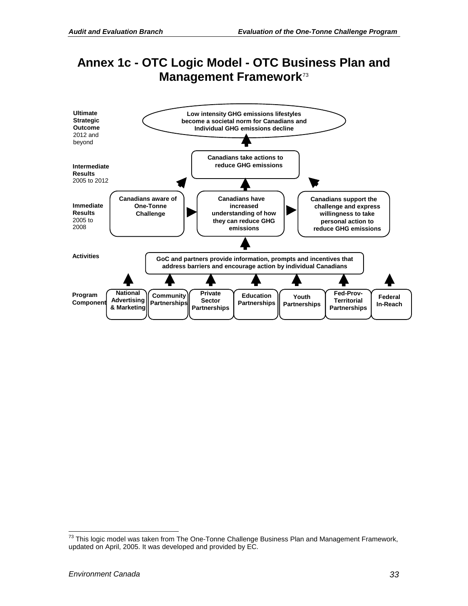# <span id="page-35-0"></span>**Annex 1c - OTC Logic Model - OTC Business Plan and Management Framework**[73](#page-35-1)



<span id="page-35-1"></span> $73$  This logic model was taken from The One-Tonne Challenge Business Plan and Management Framework, updated on April, 2005. It was developed and provided by EC.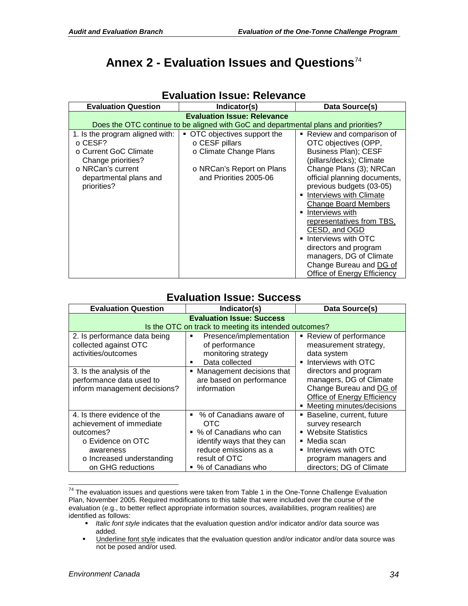# <span id="page-36-0"></span>**Annex 2 - Evaluation Issues and Questions**[74](#page-36-1)

|                                                                                                                                 | Data Source(s)                                                                                                                                                                                                                                                                                                                                                                                                          |  |  |
|---------------------------------------------------------------------------------------------------------------------------------|-------------------------------------------------------------------------------------------------------------------------------------------------------------------------------------------------------------------------------------------------------------------------------------------------------------------------------------------------------------------------------------------------------------------------|--|--|
| <b>Evaluation Question</b><br>Indicator(s)                                                                                      |                                                                                                                                                                                                                                                                                                                                                                                                                         |  |  |
| <b>Evaluation Issue: Relevance</b>                                                                                              |                                                                                                                                                                                                                                                                                                                                                                                                                         |  |  |
| Does the OTC continue to be aligned with GoC and departmental plans and priorities?                                             |                                                                                                                                                                                                                                                                                                                                                                                                                         |  |  |
| • OTC objectives support the<br>○ CESF pillars<br>o Climate Change Plans<br>○ NRCan's Report on Plans<br>and Priorities 2005-06 | • Review and comparison of<br>OTC objectives (OPP,<br>Business Plan); CESF<br>(pillars/decks); Climate<br>Change Plans (3); NRCan<br>official planning documents,<br>previous budgets (03-05)<br>Interviews with Climate<br>Change Board Members<br>Interviews with<br>representatives from TBS,<br>CESD, and OGD<br>Interviews with OTC<br>directors and program<br>managers, DG of Climate<br>Change Bureau and DG of |  |  |
|                                                                                                                                 |                                                                                                                                                                                                                                                                                                                                                                                                                         |  |  |

### **Evaluation Issue: Relevance**

### **Evaluation Issue: Success**

| <b>Evaluation Question</b>                                                                                                                               | Indicator(s)                                                                                                                                                  | Data Source(s)                                                                                                                                                                    |  |  |  |  |
|----------------------------------------------------------------------------------------------------------------------------------------------------------|---------------------------------------------------------------------------------------------------------------------------------------------------------------|-----------------------------------------------------------------------------------------------------------------------------------------------------------------------------------|--|--|--|--|
|                                                                                                                                                          | <b>Evaluation Issue: Success</b><br>Is the OTC on track to meeting its intended outcomes?                                                                     |                                                                                                                                                                                   |  |  |  |  |
| 2. Is performance data being<br>collected against OTC<br>activities/outcomes                                                                             | Presence/implementation<br>٠<br>of performance<br>monitoring strategy<br>Data collected<br>٠                                                                  | Review of performance<br>measurement strategy,<br>data system<br>Interviews with OTC                                                                                              |  |  |  |  |
| 3. Is the analysis of the<br>performance data used to<br>inform management decisions?                                                                    | Management decisions that<br>are based on performance<br>information                                                                                          | directors and program<br>managers, DG of Climate<br>Change Bureau and DG of<br>Office of Energy Efficiency<br>Meeting minutes/decisions                                           |  |  |  |  |
| 4. Is there evidence of the<br>achievement of immediate<br>outcomes?<br>○ Evidence on OTC<br>awareness<br>o Increased understanding<br>on GHG reductions | ■ % of Canadians aware of<br>OTC<br>■ % of Canadians who can<br>identify ways that they can<br>reduce emissions as a<br>result of OTC<br>■ % of Canadians who | Baseline, current, future<br>survey research<br><b>Website Statistics</b><br>$\blacksquare$ Media scan<br>Interviews with OTC<br>program managers and<br>directors; DG of Climate |  |  |  |  |

<span id="page-36-1"></span> $\frac{74}{74}$  The evaluation issues and questions were taken from Table 1 in the One-Tonne Challenge Evaluation Plan, November 2005. Required modifications to this table that were included over the course of the evaluation (e.g., to better reflect appropriate information sources, availabilities, program realities) are identified as follows:

**Italic font style indicates that the evaluation question and/or indicator and/or data source was** added.

Underline font style indicates that the evaluation question and/or indicator and/or data source was not be posed and/or used.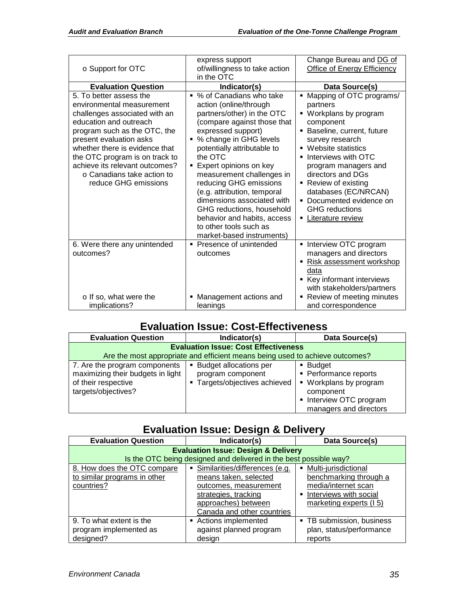| ○ Support for OTC                                                                                                                                                                                                                                                                                                                            | express support<br>of/willingness to take action<br>in the OTC                                                                                                                                                                                                                                                                                                                                                                                                                     | Change Bureau and DG of<br><b>Office of Energy Efficiency</b>                                                                                                                                                                                                                                                                                   |
|----------------------------------------------------------------------------------------------------------------------------------------------------------------------------------------------------------------------------------------------------------------------------------------------------------------------------------------------|------------------------------------------------------------------------------------------------------------------------------------------------------------------------------------------------------------------------------------------------------------------------------------------------------------------------------------------------------------------------------------------------------------------------------------------------------------------------------------|-------------------------------------------------------------------------------------------------------------------------------------------------------------------------------------------------------------------------------------------------------------------------------------------------------------------------------------------------|
| <b>Evaluation Question</b>                                                                                                                                                                                                                                                                                                                   | Indicator(s)                                                                                                                                                                                                                                                                                                                                                                                                                                                                       | Data Source(s)                                                                                                                                                                                                                                                                                                                                  |
| 5. To better assess the<br>environmental measurement<br>challenges associated with an<br>education and outreach<br>program such as the OTC, the<br>present evaluation asks<br>whether there is evidence that<br>the OTC program is on track to<br>achieve its relevant outcomes?<br>$\circ$ Canadians take action to<br>reduce GHG emissions | ■ % of Canadians who take<br>action (online/through<br>partners/other) in the OTC<br>(compare against those that<br>expressed support)<br>■ % change in GHG levels<br>potentially attributable to<br>the OTC<br>Expert opinions on key<br>٠<br>measurement challenges in<br>reducing GHG emissions<br>(e.g. attribution, temporal<br>dimensions associated with<br>GHG reductions, household<br>behavior and habits, access<br>to other tools such as<br>market-based instruments) | Mapping of OTC programs/<br>partners<br>• Workplans by program<br>component<br>Baseline, current, future<br>survey research<br>Website statistics<br>Interviews with OTC<br>program managers and<br>directors and DGs<br>Review of existing<br>databases (EC/NRCAN)<br>• Documented evidence on<br><b>GHG</b> reductions<br>• Literature review |
| 6. Were there any unintended<br>outcomes?<br>o If so, what were the<br>implications?                                                                                                                                                                                                                                                         | ■ Presence of unintended<br>outcomes<br>Management actions and<br>leanings                                                                                                                                                                                                                                                                                                                                                                                                         | Interview OTC program<br>managers and directors<br>Risk assessment workshop<br>data<br>Key informant interviews<br>with stakeholders/partners<br>Review of meeting minutes<br>and correspondence                                                                                                                                                |

### **Evaluation Issue: Cost-Effectiveness**

| <b>Evaluation Question</b>                                                                                                  | Indicator(s)                                                                   | Data Source(s)                                                                                                                             |  |  |  |
|-----------------------------------------------------------------------------------------------------------------------------|--------------------------------------------------------------------------------|--------------------------------------------------------------------------------------------------------------------------------------------|--|--|--|
| <b>Evaluation Issue: Cost Effectiveness</b><br>Are the most appropriate and efficient means being used to achieve outcomes? |                                                                                |                                                                                                                                            |  |  |  |
| 7. Are the program components<br>maximizing their budgets in light<br>of their respective<br>targets/objectives?            | • Budget allocations per<br>program component<br>• Targets/objectives achieved | $\blacksquare$ Budget<br>• Performance reports<br>• Workplans by program<br>component<br>• Interview OTC program<br>managers and directors |  |  |  |

### **Evaluation Issue: Design & Delivery**

| <b>Evaluation Question</b>                                                                                          | Data Source(s)                                                                                                                                                     |                                                                                                                           |  |  |  |
|---------------------------------------------------------------------------------------------------------------------|--------------------------------------------------------------------------------------------------------------------------------------------------------------------|---------------------------------------------------------------------------------------------------------------------------|--|--|--|
| <b>Evaluation Issue: Design &amp; Delivery</b><br>Is the OTC being designed and delivered in the best possible way? |                                                                                                                                                                    |                                                                                                                           |  |  |  |
| 8. How does the OTC compare<br>to similar programs in other<br>countries?                                           | Similarities/differences (e.g.<br>٠<br>means taken, selected<br>outcomes, measurement<br>strategies, tracking<br>approaches) between<br>Canada and other countries | Multi-jurisdictional<br>benchmarking through a<br>media/internet scan<br>Interviews with social<br>marketing experts (15) |  |  |  |
| 9. To what extent is the<br>program implemented as<br>designed?                                                     | • Actions implemented<br>against planned program<br>design                                                                                                         | • TB submission, business<br>plan, status/performance<br>reports                                                          |  |  |  |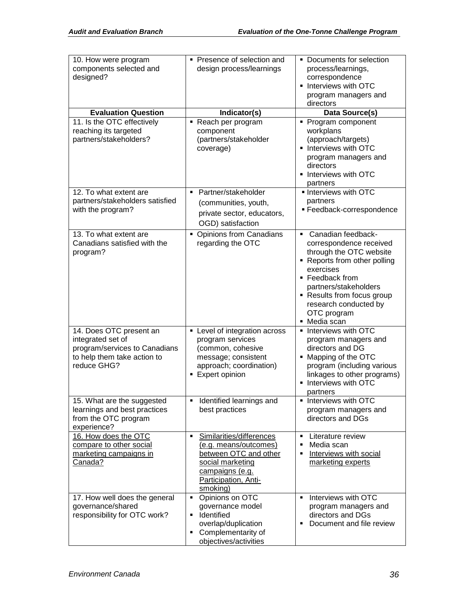| 10. How were program<br>components selected and<br>designed?                                                                | • Presence of selection and<br>design process/learnings                                                                                                    | • Documents for selection<br>process/learnings,<br>correspondence<br>• Interviews with OTC<br>program managers and<br>directors                                                                                                                           |
|-----------------------------------------------------------------------------------------------------------------------------|------------------------------------------------------------------------------------------------------------------------------------------------------------|-----------------------------------------------------------------------------------------------------------------------------------------------------------------------------------------------------------------------------------------------------------|
| <b>Evaluation Question</b>                                                                                                  | Indicator(s)                                                                                                                                               | Data Source(s)                                                                                                                                                                                                                                            |
| 11. Is the OTC effectively<br>reaching its targeted<br>partners/stakeholders?                                               | - Reach per program<br>component<br>(partners/stakeholder<br>coverage)                                                                                     | • Program component<br>workplans<br>(approach/targets)<br>• Interviews with OTC<br>program managers and<br>directors<br>• Interviews with OTC<br>partners                                                                                                 |
| 12. To what extent are<br>partners/stakeholders satisfied<br>with the program?                                              | • Partner/stakeholder<br>(communities, youth,<br>private sector, educators,<br>OGD) satisfaction                                                           | Interviews with OTC<br>partners<br>· Feedback-correspondence                                                                                                                                                                                              |
| 13. To what extent are<br>Canadians satisfied with the<br>program?                                                          | Opinions from Canadians<br>regarding the OTC                                                                                                               | • Canadian feedback-<br>correspondence received<br>through the OTC website<br>• Reports from other polling<br>exercises<br>■ Feedback from<br>partners/stakeholders<br>• Results from focus group<br>research conducted by<br>OTC program<br>• Media scan |
| 14. Does OTC present an<br>integrated set of<br>program/services to Canadians<br>to help them take action to<br>reduce GHG? | Level of integration across<br>٠<br>program services<br>(common, cohesive<br>message; consistent<br>approach; coordination)<br><b>Expert opinion</b>       | • Interviews with OTC<br>program managers and<br>directors and DG<br>• Mapping of the OTC<br>program (including various<br>linkages to other programs)<br>Interviews with OTC<br>٠<br>partners                                                            |
| 15. What are the suggested<br>learnings and best practices<br>from the OTC program<br>experience?                           | Identified learnings and<br>٠<br>best practices                                                                                                            | • Interviews with OTC<br>program managers and<br>directors and DGs                                                                                                                                                                                        |
| 16. How does the OTC<br>compare to other social<br>marketing campaigns in<br>Canada?                                        | Similarities/differences<br>٠<br>(e.g. means/outcomes)<br>between OTC and other<br>social marketing<br>campaigns (e.g.<br>Participation, Anti-<br>smoking) | Literature review<br>٠<br>Media scan<br>п<br>Interviews with social<br>Е<br>marketing experts                                                                                                                                                             |
| 17. How well does the general<br>governance/shared<br>responsibility for OTC work?                                          | Opinions on OTC<br>$\blacksquare$<br>governance model<br>Identified<br>٠<br>overlap/duplication<br>Complementarity of<br>٠<br>objectives/activities        | Interviews with OTC<br>٠<br>program managers and<br>directors and DGs<br>Document and file review<br>٠                                                                                                                                                    |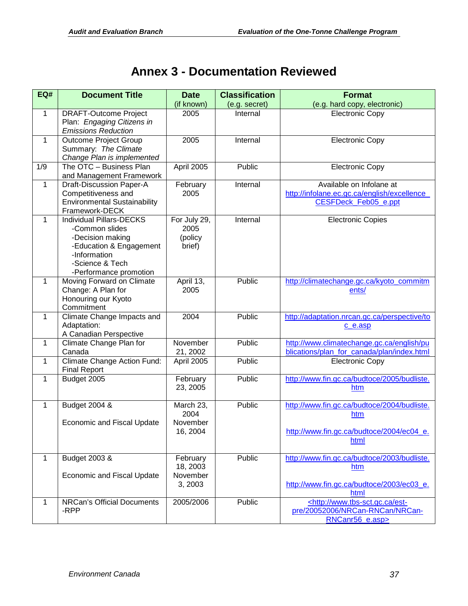# **Annex 3 - Documentation Reviewed**

<span id="page-39-0"></span>

| EQ#          | <b>Document Title</b>                                                                                                                                         | <b>Date</b>                                 | <b>Classification</b> | <b>Format</b>                                                                                           |
|--------------|---------------------------------------------------------------------------------------------------------------------------------------------------------------|---------------------------------------------|-----------------------|---------------------------------------------------------------------------------------------------------|
|              |                                                                                                                                                               | (if known)                                  | (e.g. secret)         | (e.g. hard copy, electronic)                                                                            |
| $\mathbf{1}$ | <b>DRAFT-Outcome Project</b><br>Plan: Engaging Citizens in<br><b>Emissions Reduction</b>                                                                      | 2005                                        | Internal              | <b>Electronic Copy</b>                                                                                  |
| $\mathbf{1}$ | <b>Outcome Project Group</b><br>Summary: The Climate<br>Change Plan is implemented                                                                            | 2005                                        | Internal              | <b>Electronic Copy</b>                                                                                  |
| 1/9          | The OTC - Business Plan<br>and Management Framework                                                                                                           | April 2005                                  | Public                | <b>Electronic Copy</b>                                                                                  |
| $\mathbf{1}$ | Draft-Discussion Paper-A<br>Competitiveness and<br><b>Environmental Sustainability</b><br>Framework-DECK                                                      | February<br>2005                            | Internal              | Available on Infolane at<br>http://infolane.ec.gc.ca/english/excellence_<br><b>CESFDeck Feb05 e.ppt</b> |
| $\mathbf{1}$ | <b>Individual Pillars-DECKS</b><br>-Common slides<br>-Decision making<br>-Education & Engagement<br>-Information<br>-Science & Tech<br>-Performance promotion | For July 29,<br>2005<br>(policy<br>brief)   | Internal              | <b>Electronic Copies</b>                                                                                |
| $\mathbf{1}$ | Moving Forward on Climate<br>Change: A Plan for<br>Honouring our Kyoto<br>Commitment                                                                          | April 13,<br>2005                           | Public                | http://climatechange.gc.ca/kyoto_commitm<br>ents/                                                       |
| $\mathbf{1}$ | Climate Change Impacts and<br>Adaptation:<br>A Canadian Perspective                                                                                           | 2004                                        | Public                | http://adaptation.nrcan.gc.ca/perspective/to<br>c_e.asp                                                 |
| $\mathbf{1}$ | Climate Change Plan for<br>Canada                                                                                                                             | November<br>21, 2002                        | Public                | http://www.climatechange.gc.ca/english/pu<br>blications/plan for canada/plan/index.html                 |
| 1            | Climate Change Action Fund:<br><b>Final Report</b>                                                                                                            | April 2005                                  | Public                | <b>Electronic Copy</b>                                                                                  |
| 1            | Budget 2005                                                                                                                                                   | February<br>23, 2005                        | Public                | http://www.fin.gc.ca/budtoce/2005/budliste.<br>htm                                                      |
| $\mathbf{1}$ | Budget 2004 &<br><b>Economic and Fiscal Update</b>                                                                                                            | March 23,<br>2004<br>November<br>16, 2004   | Public                | http://www.fin.gc.ca/budtoce/2004/budliste.<br>htm<br>http://www.fin.gc.ca/budtoce/2004/ec04_e.<br>html |
| $\mathbf{1}$ | Budget 2003 &<br><b>Economic and Fiscal Update</b>                                                                                                            | February<br>18, 2003<br>November<br>3, 2003 | Public                | http://www.fin.gc.ca/budtoce/2003/budliste.<br>htm<br>http://www.fin.gc.ca/budtoce/2003/ec03 e.<br>html |
| $\mathbf{1}$ | <b>NRCan's Official Documents</b><br>-RPP                                                                                                                     | 2005/2006                                   | Public                | <http: est-<br="" www.tbs-sct.gc.ca="">pre/20052006/NRCan-RNCan/NRCan-<br/>RNCanr56 e.asp&gt;</http:>   |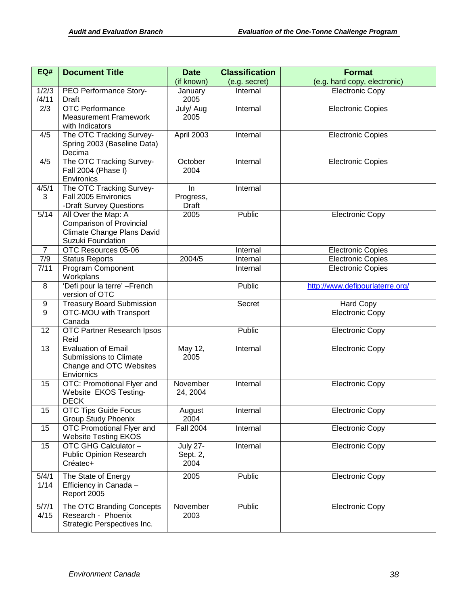| EQ#            | <b>Document Title</b>                                   | <b>Date</b>              | <b>Classification</b> | <b>Format</b>                                        |
|----------------|---------------------------------------------------------|--------------------------|-----------------------|------------------------------------------------------|
|                |                                                         | (if known)               | (e.g. secret)         | (e.g. hard copy, electronic)                         |
| 1/2/3          | PEO Performance Story-                                  | January                  | Internal              | <b>Electronic Copy</b>                               |
| /4/11          | Draft                                                   | 2005                     |                       |                                                      |
| 2/3            | <b>OTC Performance</b><br><b>Measurement Framework</b>  | July/ Aug<br>2005        | Internal              | <b>Electronic Copies</b>                             |
|                | with Indicators                                         |                          |                       |                                                      |
| 4/5            | The OTC Tracking Survey-                                | April 2003               | Internal              | <b>Electronic Copies</b>                             |
|                | Spring 2003 (Baseline Data)                             |                          |                       |                                                      |
|                | Decima                                                  |                          |                       |                                                      |
| 4/5            | The OTC Tracking Survey-                                | October                  | Internal              | <b>Electronic Copies</b>                             |
|                | Fall 2004 (Phase I)<br>Environics                       | 2004                     |                       |                                                      |
| 4/5/1          | The OTC Tracking Survey-                                | In                       | Internal              |                                                      |
| 3              | Fall 2005 Environics                                    | Progress,                |                       |                                                      |
|                | -Draft Survey Questions                                 | <b>Draft</b>             |                       |                                                      |
| $5/14$         | All Over the Map: A                                     | 2005                     | Public                | <b>Electronic Copy</b>                               |
|                | <b>Comparison of Provincial</b>                         |                          |                       |                                                      |
|                | Climate Change Plans David                              |                          |                       |                                                      |
|                | Suzuki Foundation                                       |                          |                       |                                                      |
| $\overline{7}$ | OTC Resources 05-06                                     |                          | Internal              | <b>Electronic Copies</b>                             |
| 7/9<br>7/11    | <b>Status Reports</b><br>Program Component              | 2004/5                   | Internal<br>Internal  | <b>Electronic Copies</b><br><b>Electronic Copies</b> |
|                | Workplans                                               |                          |                       |                                                      |
| 8              | 'Defi pour la terre' - French                           |                          | Public                | http://www.defipourlaterre.org/                      |
|                | version of OTC                                          |                          |                       |                                                      |
| 9              | <b>Treasury Board Submission</b>                        |                          | Secret                | <b>Hard Copy</b>                                     |
| $\overline{9}$ | OTC-MOU with Transport<br>Canada                        |                          |                       | <b>Electronic Copy</b>                               |
| 12             | OTC Partner Research Ipsos                              |                          | Public                | <b>Electronic Copy</b>                               |
|                | Reid                                                    |                          |                       |                                                      |
| 13             | <b>Evaluation of Email</b><br>Submissions to Climate    | May 12,<br>2005          | Internal              | <b>Electronic Copy</b>                               |
|                | Change and OTC Websites                                 |                          |                       |                                                      |
|                | Enviornics                                              |                          |                       |                                                      |
| 15             | OTC: Promotional Flyer and                              | November                 | Internal              | <b>Electronic Copy</b>                               |
|                | Website EKOS Testing-                                   | 24, 2004                 |                       |                                                      |
|                | <b>DECK</b>                                             |                          |                       |                                                      |
| 15             | OTC Tips Guide Focus                                    | August                   | Internal              | <b>Electronic Copy</b>                               |
| 15             | <b>Group Study Phoenix</b><br>OTC Promotional Flyer and | 2004<br><b>Fall 2004</b> | Internal              | <b>Electronic Copy</b>                               |
|                | <b>Website Testing EKOS</b>                             |                          |                       |                                                      |
| 15             | OTC GHG Calculator -                                    | <b>July 27-</b>          | Internal              | <b>Electronic Copy</b>                               |
|                | <b>Public Opinion Research</b>                          | Sept. 2,                 |                       |                                                      |
|                | Créatec+                                                | 2004                     |                       |                                                      |
| 5/4/1          | The State of Energy                                     | 2005                     | Public                | <b>Electronic Copy</b>                               |
| 1/14           | Efficiency in Canada -                                  |                          |                       |                                                      |
|                | Report 2005                                             |                          |                       |                                                      |
| 5/7/1          | The OTC Branding Concepts                               | November                 | Public                | <b>Electronic Copy</b>                               |
| 4/15           | Research - Phoenix                                      | 2003                     |                       |                                                      |
|                | Strategic Perspectives Inc.                             |                          |                       |                                                      |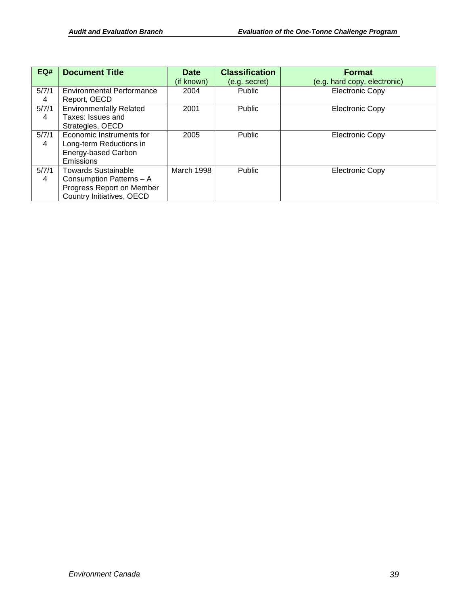| EQ#        | <b>Document Title</b>                                                                                            | <b>Date</b> | <b>Classification</b> | <b>Format</b>                |
|------------|------------------------------------------------------------------------------------------------------------------|-------------|-----------------------|------------------------------|
|            |                                                                                                                  | (if known)  | (e.g. secret)         | (e.g. hard copy, electronic) |
| 5/7/1<br>4 | <b>Environmental Performance</b><br>Report, OECD                                                                 | 2004        | <b>Public</b>         | <b>Electronic Copy</b>       |
| 5/7/1<br>4 | <b>Environmentally Related</b><br>Taxes: Issues and<br>Strategies, OECD                                          | 2001        | Public                | <b>Electronic Copy</b>       |
| 5/7/1<br>4 | Economic Instruments for<br>Long-term Reductions in<br>Energy-based Carbon<br>Emissions                          | 2005        | Public                | <b>Electronic Copy</b>       |
| 5/7/1<br>4 | <b>Towards Sustainable</b><br>Consumption Patterns - A<br>Progress Report on Member<br>Country Initiatives, OECD | March 1998  | <b>Public</b>         | <b>Electronic Copy</b>       |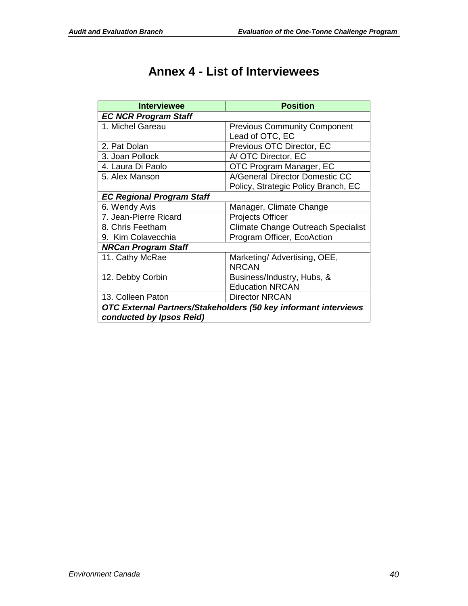| <b>Annex 4 - List of Interviewees</b> |
|---------------------------------------|
|---------------------------------------|

<span id="page-42-0"></span>

| <b>Interviewee</b>                                              | <b>Position</b>                           |  |
|-----------------------------------------------------------------|-------------------------------------------|--|
| <b>EC NCR Program Staff</b>                                     |                                           |  |
| 1. Michel Gareau                                                | <b>Previous Community Component</b>       |  |
|                                                                 | Lead of OTC, EC                           |  |
| 2. Pat Dolan                                                    | Previous OTC Director, EC                 |  |
| 3. Joan Pollock                                                 | A/ OTC Director, EC                       |  |
| 4. Laura Di Paolo                                               | OTC Program Manager, EC                   |  |
| 5. Alex Manson                                                  | A/General Director Domestic CC            |  |
|                                                                 | Policy, Strategic Policy Branch, EC       |  |
| <b>EC Regional Program Staff</b>                                |                                           |  |
| 6. Wendy Avis                                                   | Manager, Climate Change                   |  |
| 7. Jean-Pierre Ricard                                           | <b>Projects Officer</b>                   |  |
| 8. Chris Feetham                                                | <b>Climate Change Outreach Specialist</b> |  |
| 9. Kim Colavecchia                                              | Program Officer, EcoAction                |  |
| <b>NRCan Program Staff</b>                                      |                                           |  |
| 11. Cathy McRae                                                 | Marketing/ Advertising, OEE,              |  |
|                                                                 | <b>NRCAN</b>                              |  |
| 12. Debby Corbin                                                | Business/Industry, Hubs, &                |  |
|                                                                 | <b>Education NRCAN</b>                    |  |
| 13. Colleen Paton                                               | <b>Director NRCAN</b>                     |  |
| OTC External Partners/Stakeholders (50 key informant interviews |                                           |  |
| conducted by Ipsos Reid)                                        |                                           |  |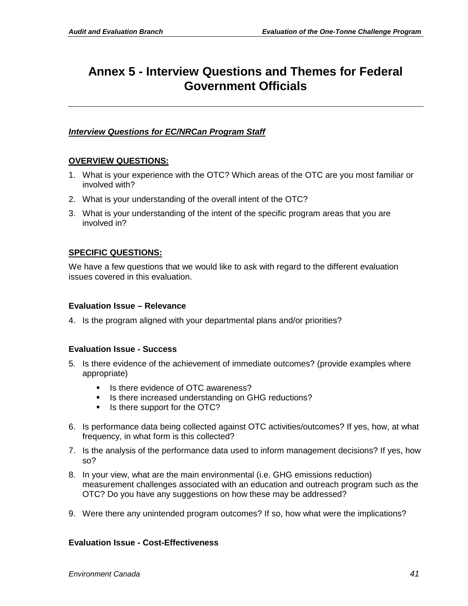## <span id="page-43-0"></span>**Annex 5 - Interview Questions and Themes for Federal Government Officials**

### *Interview Questions for EC/NRCan Program Staff*

### **OVERVIEW QUESTIONS:**

- 1. What is your experience with the OTC? Which areas of the OTC are you most familiar or involved with?
- 2. What is your understanding of the overall intent of the OTC?
- 3. What is your understanding of the intent of the specific program areas that you are involved in?

### **SPECIFIC QUESTIONS:**

We have a few questions that we would like to ask with regard to the different evaluation issues covered in this evaluation.

### **Evaluation Issue – Relevance**

4. Is the program aligned with your departmental plans and/or priorities?

### **Evaluation Issue - Success**

- 5. Is there evidence of the achievement of immediate outcomes? (provide examples where appropriate)
	- Is there evidence of OTC awareness?
	- Is there increased understanding on GHG reductions?
	- Is there support for the OTC?
- 6. Is performance data being collected against OTC activities/outcomes? If yes, how, at what frequency, in what form is this collected?
- 7. Is the analysis of the performance data used to inform management decisions? If yes, how so?
- 8. In your view, what are the main environmental (i.e. GHG emissions reduction) measurement challenges associated with an education and outreach program such as the OTC? Do you have any suggestions on how these may be addressed?
- 9. Were there any unintended program outcomes? If so, how what were the implications?

### **Evaluation Issue - Cost-Effectiveness**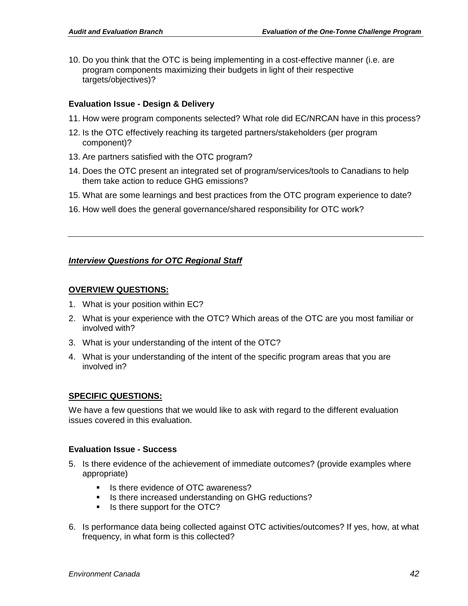10. Do you think that the OTC is being implementing in a cost-effective manner (i.e. are program components maximizing their budgets in light of their respective targets/objectives)?

#### **Evaluation Issue - Design & Delivery**

- 11. How were program components selected? What role did EC/NRCAN have in this process?
- 12. Is the OTC effectively reaching its targeted partners/stakeholders (per program component)?
- 13. Are partners satisfied with the OTC program?
- 14. Does the OTC present an integrated set of program/services/tools to Canadians to help them take action to reduce GHG emissions?
- 15. What are some learnings and best practices from the OTC program experience to date?
- 16. How well does the general governance/shared responsibility for OTC work?

#### *Interview Questions for OTC Regional Staff*

#### **OVERVIEW QUESTIONS:**

- 1. What is your position within EC?
- 2. What is your experience with the OTC? Which areas of the OTC are you most familiar or involved with?
- 3. What is your understanding of the intent of the OTC?
- 4. What is your understanding of the intent of the specific program areas that you are involved in?

#### **SPECIFIC QUESTIONS:**

We have a few questions that we would like to ask with regard to the different evaluation issues covered in this evaluation.

#### **Evaluation Issue - Success**

- 5. Is there evidence of the achievement of immediate outcomes? (provide examples where appropriate)
	- Is there evidence of OTC awareness?
	- Is there increased understanding on GHG reductions?
	- Is there support for the OTC?
- 6. Is performance data being collected against OTC activities/outcomes? If yes, how, at what frequency, in what form is this collected?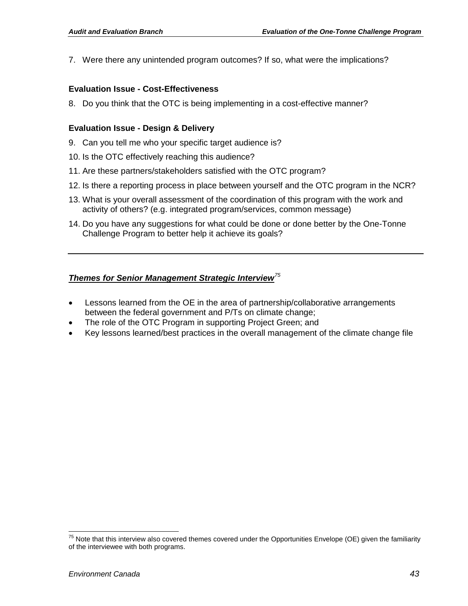7. Were there any unintended program outcomes? If so, what were the implications?

#### **Evaluation Issue - Cost-Effectiveness**

8. Do you think that the OTC is being implementing in a cost-effective manner?

#### **Evaluation Issue - Design & Delivery**

- 9. Can you tell me who your specific target audience is?
- 10. Is the OTC effectively reaching this audience?
- 11. Are these partners/stakeholders satisfied with the OTC program?
- 12. Is there a reporting process in place between yourself and the OTC program in the NCR?
- 13. What is your overall assessment of the coordination of this program with the work and activity of others? (e.g. integrated program/services, common message)
- 14. Do you have any suggestions for what could be done or done better by the One-Tonne Challenge Program to better help it achieve its goals?

### *Themes for Senior Management Strategic Interview[75](#page-45-0)*

- Lessons learned from the OE in the area of partnership/collaborative arrangements between the federal government and P/Ts on climate change;
- The role of the OTC Program in supporting Project Green; and
- Key lessons learned/best practices in the overall management of the climate change file

<span id="page-45-0"></span> $75$  Note that this interview also covered themes covered under the Opportunities Envelope (OE) given the familiarity of the interviewee with both programs.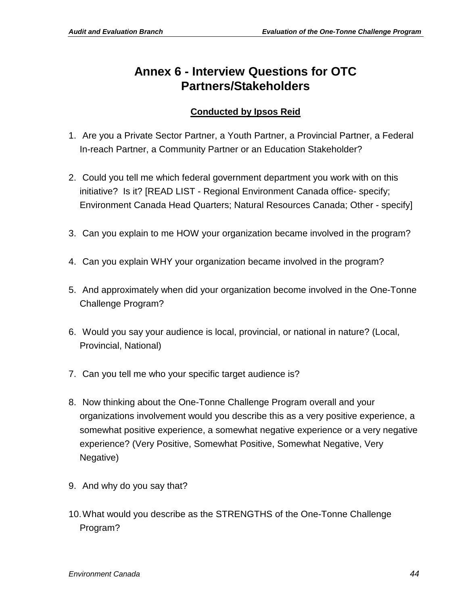### <span id="page-46-0"></span>**Annex 6 - Interview Questions for OTC Partners/Stakeholders**

### **Conducted by Ipsos Reid**

- 1. Are you a Private Sector Partner, a Youth Partner, a Provincial Partner, a Federal In-reach Partner, a Community Partner or an Education Stakeholder?
- 2. Could you tell me which federal government department you work with on this initiative? Is it? [READ LIST - Regional Environment Canada office- specify; Environment Canada Head Quarters; Natural Resources Canada; Other - specify]
- 3. Can you explain to me HOW your organization became involved in the program?
- 4. Can you explain WHY your organization became involved in the program?
- 5. And approximately when did your organization become involved in the One-Tonne Challenge Program?
- 6. Would you say your audience is local, provincial, or national in nature? (Local, Provincial, National)
- 7. Can you tell me who your specific target audience is?
- 8. Now thinking about the One-Tonne Challenge Program overall and your organizations involvement would you describe this as a very positive experience, a somewhat positive experience, a somewhat negative experience or a very negative experience? (Very Positive, Somewhat Positive, Somewhat Negative, Very Negative)
- 9. And why do you say that?
- 10.What would you describe as the STRENGTHS of the One-Tonne Challenge Program?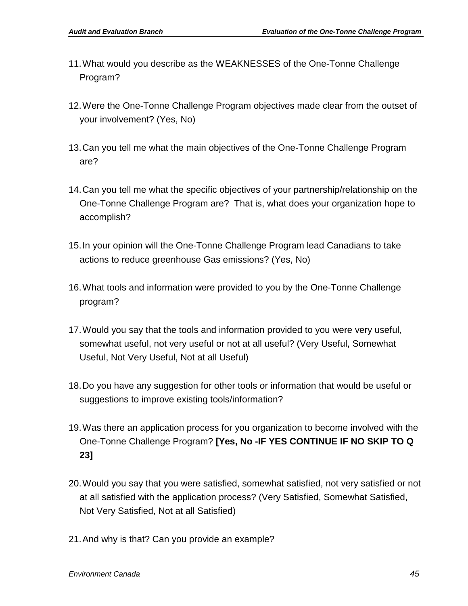- 11.What would you describe as the WEAKNESSES of the One-Tonne Challenge Program?
- 12.Were the One-Tonne Challenge Program objectives made clear from the outset of your involvement? (Yes, No)
- 13.Can you tell me what the main objectives of the One-Tonne Challenge Program are?
- 14.Can you tell me what the specific objectives of your partnership/relationship on the One-Tonne Challenge Program are? That is, what does your organization hope to accomplish?
- 15.In your opinion will the One-Tonne Challenge Program lead Canadians to take actions to reduce greenhouse Gas emissions? (Yes, No)
- 16.What tools and information were provided to you by the One-Tonne Challenge program?
- 17.Would you say that the tools and information provided to you were very useful, somewhat useful, not very useful or not at all useful? (Very Useful, Somewhat Useful, Not Very Useful, Not at all Useful)
- 18.Do you have any suggestion for other tools or information that would be useful or suggestions to improve existing tools/information?
- 19.Was there an application process for you organization to become involved with the One-Tonne Challenge Program? **[Yes, No -IF YES CONTINUE IF NO SKIP TO Q 23]**
- 20.Would you say that you were satisfied, somewhat satisfied, not very satisfied or not at all satisfied with the application process? (Very Satisfied, Somewhat Satisfied, Not Very Satisfied, Not at all Satisfied)
- 21.And why is that? Can you provide an example?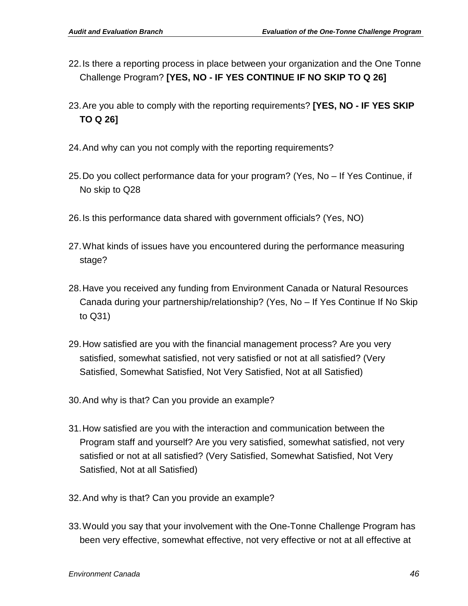- 22.Is there a reporting process in place between your organization and the One Tonne Challenge Program? **[YES, NO - IF YES CONTINUE IF NO SKIP TO Q 26]**
- 23.Are you able to comply with the reporting requirements? **[YES, NO - IF YES SKIP TO Q 26]**
- 24.And why can you not comply with the reporting requirements?
- 25.Do you collect performance data for your program? (Yes, No If Yes Continue, if No skip to Q28
- 26.Is this performance data shared with government officials? (Yes, NO)
- 27.What kinds of issues have you encountered during the performance measuring stage?
- 28.Have you received any funding from Environment Canada or Natural Resources Canada during your partnership/relationship? (Yes, No – If Yes Continue If No Skip to Q31)
- 29.How satisfied are you with the financial management process? Are you very satisfied, somewhat satisfied, not very satisfied or not at all satisfied? (Very Satisfied, Somewhat Satisfied, Not Very Satisfied, Not at all Satisfied)
- 30.And why is that? Can you provide an example?
- 31.How satisfied are you with the interaction and communication between the Program staff and yourself? Are you very satisfied, somewhat satisfied, not very satisfied or not at all satisfied? (Very Satisfied, Somewhat Satisfied, Not Very Satisfied, Not at all Satisfied)
- 32.And why is that? Can you provide an example?
- 33.Would you say that your involvement with the One-Tonne Challenge Program has been very effective, somewhat effective, not very effective or not at all effective at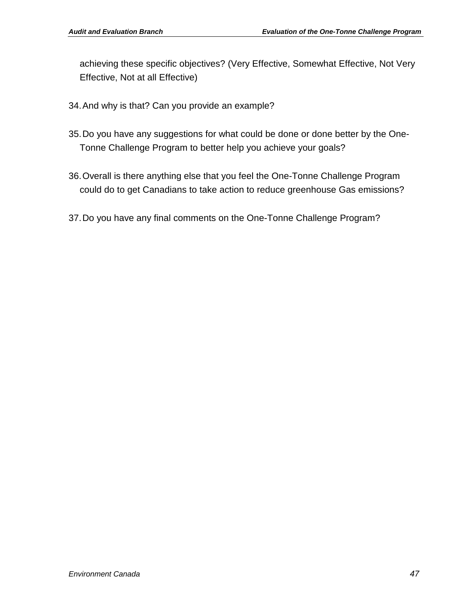achieving these specific objectives? (Very Effective, Somewhat Effective, Not Very Effective, Not at all Effective)

- 34.And why is that? Can you provide an example?
- 35.Do you have any suggestions for what could be done or done better by the One-Tonne Challenge Program to better help you achieve your goals?
- 36.Overall is there anything else that you feel the One-Tonne Challenge Program could do to get Canadians to take action to reduce greenhouse Gas emissions?
- 37.Do you have any final comments on the One-Tonne Challenge Program?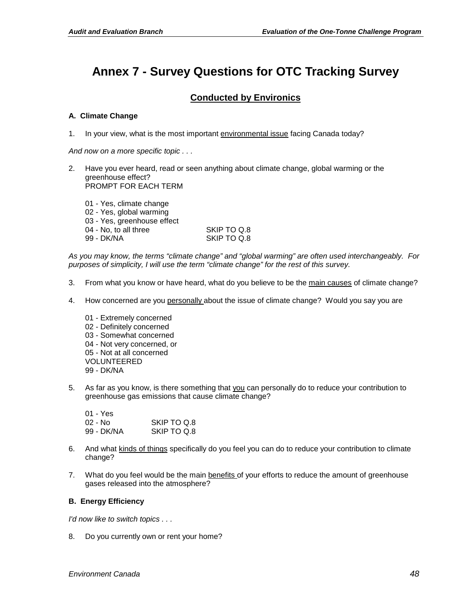# <span id="page-50-0"></span>**Annex 7 - Survey Questions for OTC Tracking Survey**

### **Conducted by Environics**

#### **A. Climate Change**

1. In your view, what is the most important environmental issue facing Canada today?

*And now on a more specific topic . . .*

2. Have you ever heard, read or seen anything about climate change, global warming or the greenhouse effect? PROMPT FOR EACH TERM

| SKIP TO Q.8 |
|-------------|
| SKIP TO Q.8 |
|             |

*As you may know, the terms "climate change" and "global warming" are often used interchangeably. For purposes of simplicity, I will use the term "climate change" for the rest of this survey.* 

- 3. From what you know or have heard, what do you believe to be the main causes of climate change?
- 4. How concerned are you personally about the issue of climate change? Would you say you are
	- 01 Extremely concerned 02 - Definitely concerned 03 - Somewhat concerned 04 - Not very concerned, or 05 - Not at all concerned VOLUNTEERED 99 - DK/NA
- 5. As far as you know, is there something that you can personally do to reduce your contribution to greenhouse gas emissions that cause climate change?

| 01 - Yes   |             |
|------------|-------------|
| 02 - No    | SKIP TO Q.8 |
| 99 - DK/NA | SKIP TO Q.8 |

- 6. And what kinds of things specifically do you feel you can do to reduce your contribution to climate change?
- 7. What do you feel would be the main benefits of your efforts to reduce the amount of greenhouse gases released into the atmosphere?

#### **B. Energy Efficiency**

*I'd now like to switch topics . . .*

8. Do you currently own or rent your home?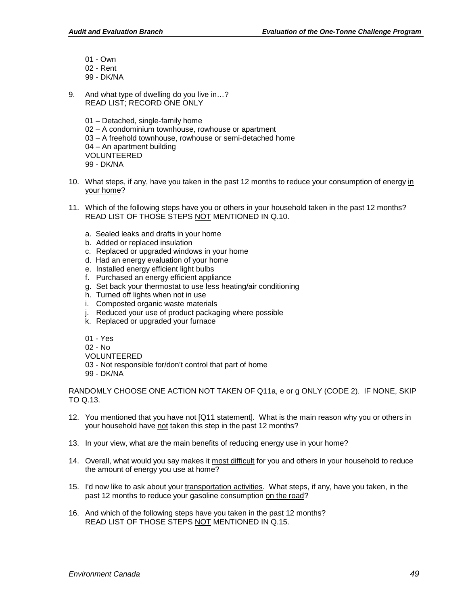- 01 Own
- 02 Rent
- 99 DK/NA
- 9. And what type of dwelling do you live in...? READ LIST; RECORD ONE ONLY
	- 01 Detached, single-family home
	- 02 A condominium townhouse, rowhouse or apartment
	- 03 A freehold townhouse, rowhouse or semi-detached home
	- 04 An apartment building
	- VOLUNTEERED
	- 99 DK/NA
- 10. What steps, if any, have you taken in the past 12 months to reduce your consumption of energy in your home?
- 11. Which of the following steps have you or others in your household taken in the past 12 months? READ LIST OF THOSE STEPS NOT MENTIONED IN Q.10.
	- a. Sealed leaks and drafts in your home
	- b. Added or replaced insulation
	- c. Replaced or upgraded windows in your home
	- d. Had an energy evaluation of your home
	- e. Installed energy efficient light bulbs
	- f. Purchased an energy efficient appliance
	- g. Set back your thermostat to use less heating/air conditioning
	- h. Turned off lights when not in use
	- i. Composted organic waste materials
	- j. Reduced your use of product packaging where possible
	- k. Replaced or upgraded your furnace
	- 01 Yes
	- 02 No
	- VOLUNTEERED
	- 03 Not responsible for/don't control that part of home
	- 99 DK/NA

RANDOMLY CHOOSE ONE ACTION NOT TAKEN OF Q11a, e or g ONLY (CODE 2). IF NONE, SKIP TO Q.13.

- 12. You mentioned that you have not [Q11 statement]. What is the main reason why you or others in your household have not taken this step in the past 12 months?
- 13. In your view, what are the main benefits of reducing energy use in your home?
- 14. Overall, what would you say makes it most difficult for you and others in your household to reduce the amount of energy you use at home?
- 15. I'd now like to ask about your transportation activities. What steps, if any, have you taken, in the past 12 months to reduce your gasoline consumption on the road?
- 16. And which of the following steps have you taken in the past 12 months? READ LIST OF THOSE STEPS NOT MENTIONED IN Q.15.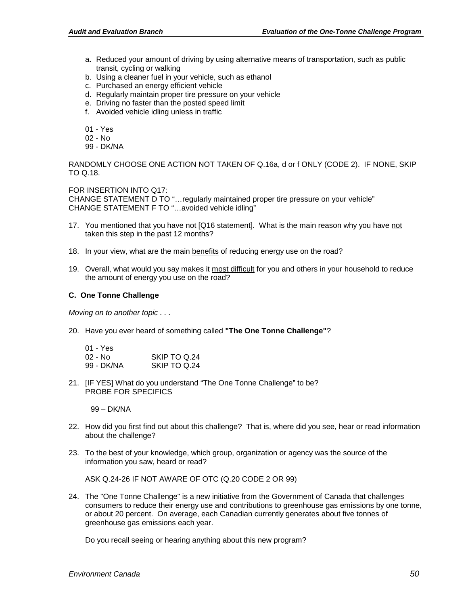- a. Reduced your amount of driving by using alternative means of transportation, such as public transit, cycling or walking
- b. Using a cleaner fuel in your vehicle, such as ethanol
- c. Purchased an energy efficient vehicle
- d. Regularly maintain proper tire pressure on your vehicle
- e. Driving no faster than the posted speed limit
- f. Avoided vehicle idling unless in traffic
- 01 Yes
- 02 No
- 99 DK/NA

RANDOMLY CHOOSE ONE ACTION NOT TAKEN OF Q.16a, d or f ONLY (CODE 2). IF NONE, SKIP TO Q.18.

FOR INSERTION INTO Q17:

CHANGE STATEMENT D TO "…regularly maintained proper tire pressure on your vehicle" CHANGE STATEMENT F TO "…avoided vehicle idling"

- 17. You mentioned that you have not [Q16 statement]. What is the main reason why you have not taken this step in the past 12 months?
- 18. In your view, what are the main benefits of reducing energy use on the road?
- 19. Overall, what would you say makes it most difficult for you and others in your household to reduce the amount of energy you use on the road?

#### **C. One Tonne Challenge**

*Moving on to another topic . . .*

20. Have you ever heard of something called **"The One Tonne Challenge"**?

| 01 - Yes   |              |
|------------|--------------|
| 02 - No    | SKIP TO 0.24 |
| 99 - DK/NA | SKIP TO Q.24 |

21. [IF YES] What do you understand "The One Tonne Challenge" to be? PROBE FOR SPECIFICS

99 – DK/NA

- 22. How did you first find out about this challenge? That is, where did you see, hear or read information about the challenge?
- 23. To the best of your knowledge, which group, organization or agency was the source of the information you saw, heard or read?

ASK Q.24-26 IF NOT AWARE OF OTC (Q.20 CODE 2 OR 99)

24. The "One Tonne Challenge" is a new initiative from the Government of Canada that challenges consumers to reduce their energy use and contributions to greenhouse gas emissions by one tonne, or about 20 percent. On average, each Canadian currently generates about five tonnes of greenhouse gas emissions each year.

Do you recall seeing or hearing anything about this new program?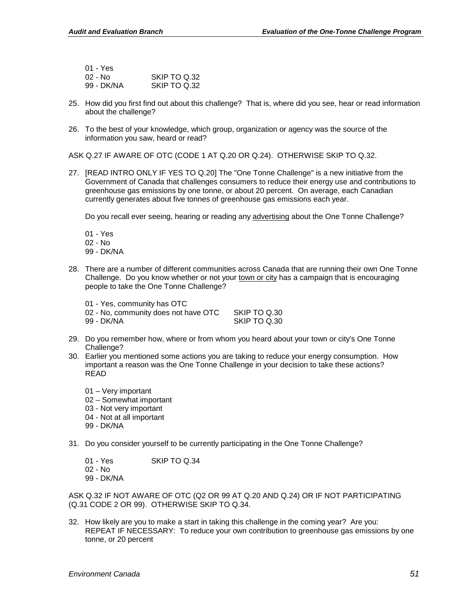| 01 - Yes   |              |
|------------|--------------|
| $02 - No$  | SKIP TO 0.32 |
| 99 - DK/NA | SKIP TO Q.32 |

- 25. How did you first find out about this challenge? That is, where did you see, hear or read information about the challenge?
- 26. To the best of your knowledge, which group, organization or agency was the source of the information you saw, heard or read?

ASK Q.27 IF AWARE OF OTC (CODE 1 AT Q.20 OR Q.24). OTHERWISE SKIP TO Q.32.

27. [READ INTRO ONLY IF YES TO Q.20] The "One Tonne Challenge" is a new initiative from the Government of Canada that challenges consumers to reduce their energy use and contributions to greenhouse gas emissions by one tonne, or about 20 percent. On average, each Canadian currently generates about five tonnes of greenhouse gas emissions each year.

Do you recall ever seeing, hearing or reading any advertising about the One Tonne Challenge?

- 01 Yes
- 02 No
- 99 DK/NA
- 28. There are a number of different communities across Canada that are running their own One Tonne Challenge. Do you know whether or not your town or city has a campaign that is encouraging people to take the One Tonne Challenge?

| 01 - Yes, community has OTC |  |
|-----------------------------|--|
|-----------------------------|--|

02 - No, community does not have OTC SKIP TO Q.30<br>99 - DK/NA SKIP TO Q.30 **SKIP TO Q.30** 

- 29. Do you remember how, where or from whom you heard about your town or city's One Tonne Challenge?
- 30. Earlier you mentioned some actions you are taking to reduce your energy consumption. How important a reason was the One Tonne Challenge in your decision to take these actions? READ
	- 01 Very important 02 – Somewhat important 03 - Not very important 04 - Not at all important
	- 99 DK/NA
- 31. Do you consider yourself to be currently participating in the One Tonne Challenge?
	- 01 Yes SKIP TO Q.34 02 - No 99 - DK/NA

ASK Q.32 IF NOT AWARE OF OTC (Q2 OR 99 AT Q.20 AND Q.24) OR IF NOT PARTICIPATING (Q.31 CODE 2 OR 99). OTHERWISE SKIP TO Q.34.

32. How likely are you to make a start in taking this challenge in the coming year? Are you: REPEAT IF NECESSARY: To reduce your own contribution to greenhouse gas emissions by one tonne, or 20 percent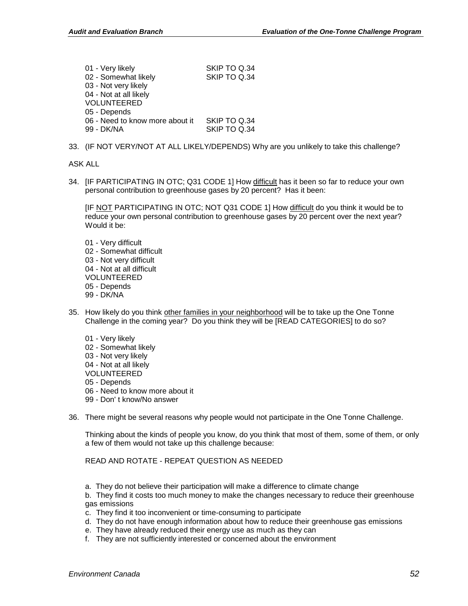| SKIP TO Q.34 |
|--------------|
| SKIP TO Q.34 |
|              |
|              |
|              |
|              |
| SKIP TO Q.34 |
| SKIP TO Q.34 |
|              |

33. (IF NOT VERY/NOT AT ALL LIKELY/DEPENDS) Why are you unlikely to take this challenge?

ASK ALL

34. [IF PARTICIPATING IN OTC; Q31 CODE 1] How difficult has it been so far to reduce your own personal contribution to greenhouse gases by 20 percent? Has it been:

[IF NOT PARTICIPATING IN OTC; NOT Q31 CODE 1] How difficult do you think it would be to reduce your own personal contribution to greenhouse gases by 20 percent over the next year? Would it be:

- 01 Very difficult 02 - Somewhat difficult 03 - Not very difficult 04 - Not at all difficult VOLUNTEERED 05 - Depends 99 - DK/NA
- 35. How likely do you think other families in your neighborhood will be to take up the One Tonne Challenge in the coming year? Do you think they will be [READ CATEGORIES] to do so?
	- 01 Very likely 02 - Somewhat likely 03 - Not very likely 04 - Not at all likely VOLUNTEERED 05 - Depends 06 - Need to know more about it 99 - Don' t know/No answer
- 36. There might be several reasons why people would not participate in the One Tonne Challenge.

Thinking about the kinds of people you know, do you think that most of them, some of them, or only a few of them would not take up this challenge because:

READ AND ROTATE - REPEAT QUESTION AS NEEDED

a. They do not believe their participation will make a difference to climate change

b. They find it costs too much money to make the changes necessary to reduce their greenhouse gas emissions

- c. They find it too inconvenient or time-consuming to participate
- d. They do not have enough information about how to reduce their greenhouse gas emissions
- e. They have already reduced their energy use as much as they can
- f. They are not sufficiently interested or concerned about the environment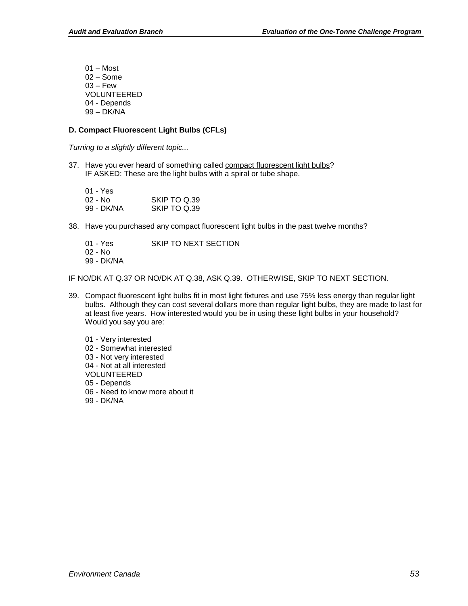01 – Most 02 – Some  $03 - \text{Few}$ VOLUNTEERED 04 - Depends 99 – DK/NA

#### **D. Compact Fluorescent Light Bulbs (CFLs)**

*Turning to a slightly different topic...*

37. Have you ever heard of something called compact fluorescent light bulbs? IF ASKED: These are the light bulbs with a spiral or tube shape.

| 01 - Yes   |              |
|------------|--------------|
| 02 - No    | SKIP TO Q.39 |
| 99 - DK/NA | SKIP TO Q.39 |

38. Have you purchased any compact fluorescent light bulbs in the past twelve months?

| 01 - Yes   | SKIP TO NEXT SECTION |
|------------|----------------------|
| 02 - No    |                      |
| 99 - DK/NA |                      |

IF NO/DK AT Q.37 OR NO/DK AT Q.38, ASK Q.39. OTHERWISE, SKIP TO NEXT SECTION.

- 39. Compact fluorescent light bulbs fit in most light fixtures and use 75% less energy than regular light bulbs. Although they can cost several dollars more than regular light bulbs, they are made to last for at least five years. How interested would you be in using these light bulbs in your household? Would you say you are:
	- 01 Very interested 02 - Somewhat interested 03 - Not very interested 04 - Not at all interested VOLUNTEERED 05 - Depends 06 - Need to know more about it
	- 99 DK/NA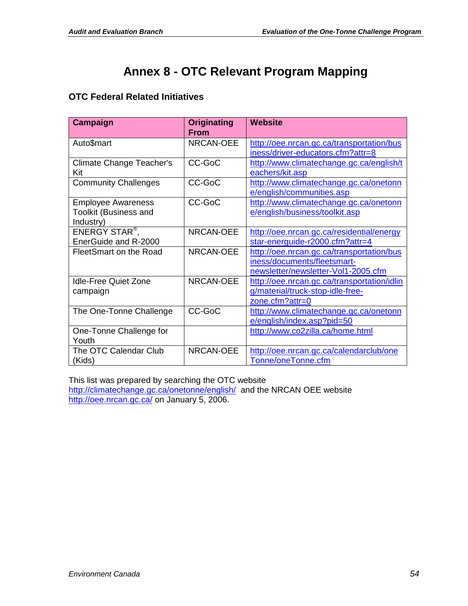# **Annex 8 - OTC Relevant Program Mapping**

### <span id="page-56-0"></span>**OTC Federal Related Initiatives**

| Campaign                                                               | <b>Originating</b><br><b>From</b> | Website                                                                                                         |
|------------------------------------------------------------------------|-----------------------------------|-----------------------------------------------------------------------------------------------------------------|
| Auto\$mart                                                             | <b>NRCAN-OEE</b>                  | http://oee.nrcan.gc.ca/transportation/bus<br>iness/driver-educators.cfm?attr=8                                  |
| Climate Change Teacher's<br>Kit                                        | CC-GoC                            | http://www.climatechange.gc.ca/english/t<br>eachers/kit.asp                                                     |
| <b>Community Challenges</b>                                            | CC-GoC                            | http://www.climatechange.gc.ca/onetonn<br>e/english/communities.asp                                             |
| <b>Employee Awareness</b><br><b>Toolkit (Business and</b><br>Industry) | CC-GoC                            | http://www.climatechange.gc.ca/onetonn<br>e/english/business/toolkit.asp                                        |
| ENERGY STAR <sup>®</sup> ,<br>EnerGuide and R-2000                     | <b>NRCAN-OEE</b>                  | http://oee.nrcan.gc.ca/residential/energy<br>star-energuide-r2000.cfm?attr=4                                    |
| FleetSmart on the Road                                                 | NRCAN-OEE                         | http://oee.nrcan.gc.ca/transportation/bus<br>iness/documents/fleetsmart-<br>newsletter/newsletter-Vol1-2005.cfm |
| <b>Idle-Free Quiet Zone</b><br>campaign                                | <b>NRCAN-OEE</b>                  | http://oee.nrcan.gc.ca/transportation/idlin<br>g/material/truck-stop-idle-free-<br>zone.cfm?attr=0              |
| The One-Tonne Challenge                                                | CC-GoC                            | http://www.climatechange.gc.ca/onetonn<br>e/english/index.asp?pid=50                                            |
| One-Tonne Challenge for<br>Youth                                       |                                   | http://www.co2zilla.ca/home.html                                                                                |
| The OTC Calendar Club<br>(Kids)                                        | NRCAN-OEE                         | http://oee.nrcan.gc.ca/calendarclub/one<br>Tonne/oneTonne.cfm                                                   |

This list was prepared by searching the OTC website <http://climatechange.gc.ca/onetonne/english/>and the NRCAN OEE website <http://oee.nrcan.gc.ca/> on January 5, 2006.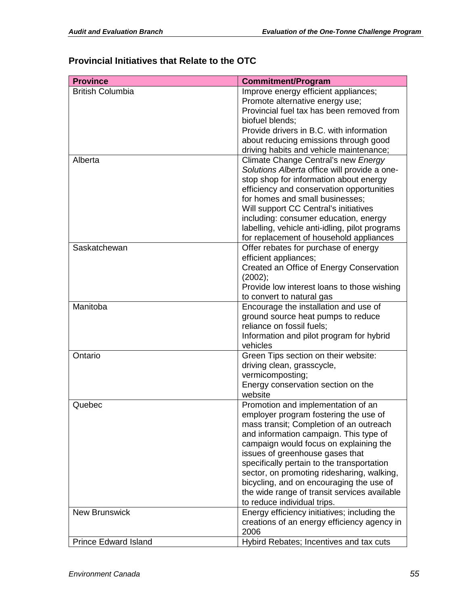### **Provincial Initiatives that Relate to the OTC**

| <b>Province</b>             | <b>Commitment/Program</b>                      |
|-----------------------------|------------------------------------------------|
| <b>British Columbia</b>     | Improve energy efficient appliances;           |
|                             | Promote alternative energy use;                |
|                             | Provincial fuel tax has been removed from      |
|                             | biofuel blends;                                |
|                             | Provide drivers in B.C. with information       |
|                             | about reducing emissions through good          |
|                             | driving habits and vehicle maintenance;        |
| Alberta                     | Climate Change Central's new Energy            |
|                             | Solutions Alberta office will provide a one-   |
|                             | stop shop for information about energy         |
|                             | efficiency and conservation opportunities      |
|                             | for homes and small businesses;                |
|                             | Will support CC Central's initiatives          |
|                             | including: consumer education, energy          |
|                             | labelling, vehicle anti-idling, pilot programs |
|                             | for replacement of household appliances        |
| Saskatchewan                | Offer rebates for purchase of energy           |
|                             | efficient appliances;                          |
|                             | Created an Office of Energy Conservation       |
|                             | (2002);                                        |
|                             | Provide low interest loans to those wishing    |
|                             | to convert to natural gas                      |
| Manitoba                    | Encourage the installation and use of          |
|                             | ground source heat pumps to reduce             |
|                             | reliance on fossil fuels;                      |
|                             | Information and pilot program for hybrid       |
|                             | vehicles                                       |
| Ontario                     | Green Tips section on their website:           |
|                             | driving clean, grasscycle,                     |
|                             | vermicomposting;                               |
|                             | Energy conservation section on the             |
|                             | website                                        |
| Quebec                      | Promotion and implementation of an             |
|                             | employer program fostering the use of          |
|                             | mass transit; Completion of an outreach        |
|                             | and information campaign. This type of         |
|                             | campaign would focus on explaining the         |
|                             | issues of greenhouse gases that                |
|                             | specifically pertain to the transportation     |
|                             | sector, on promoting ridesharing, walking,     |
|                             | bicycling, and on encouraging the use of       |
|                             | the wide range of transit services available   |
|                             | to reduce individual trips.                    |
| <b>New Brunswick</b>        | Energy efficiency initiatives; including the   |
|                             | creations of an energy efficiency agency in    |
|                             | 2006                                           |
| <b>Prince Edward Island</b> | Hybird Rebates; Incentives and tax cuts        |